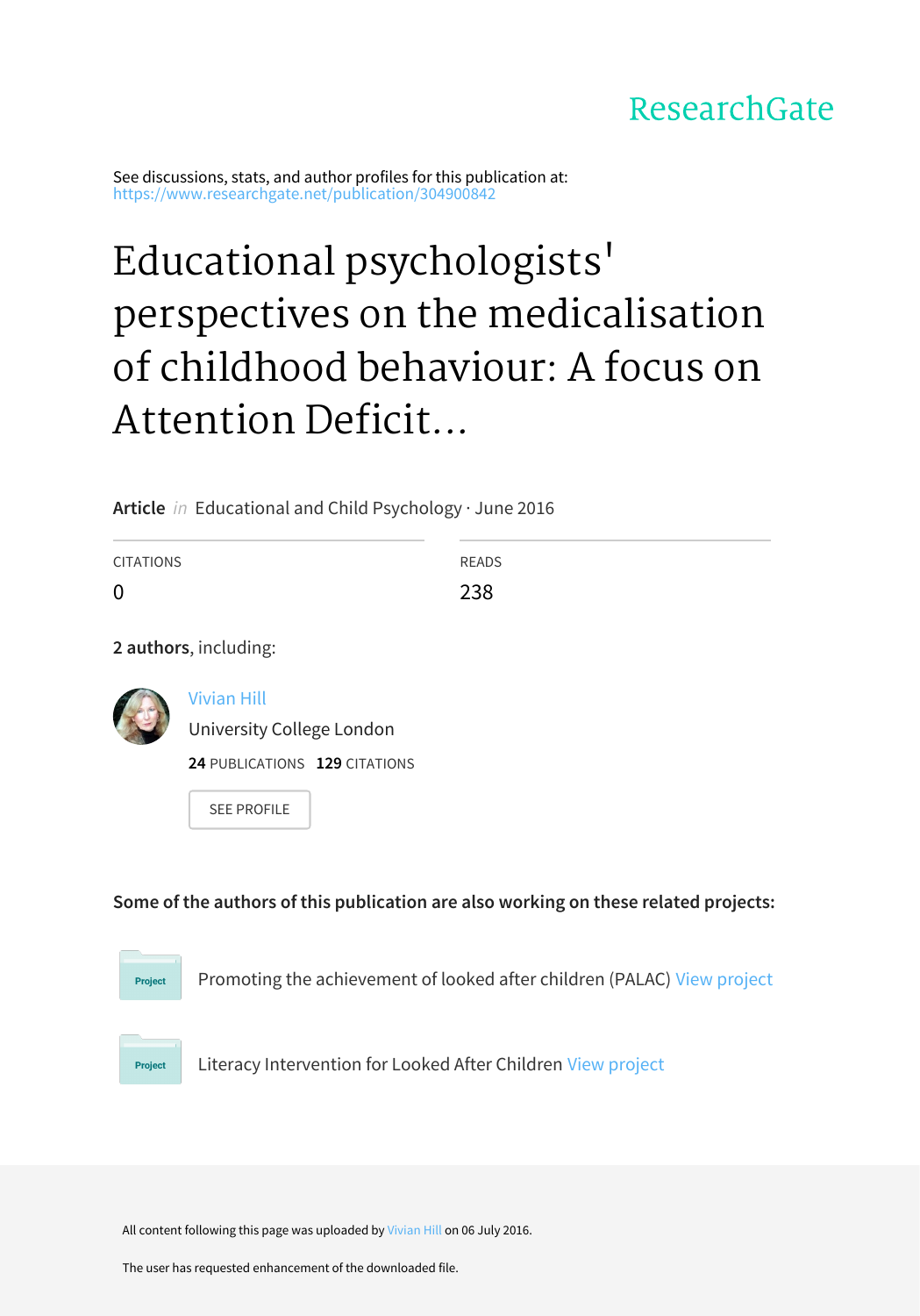### ResearchGate

See discussions, stats, and author profiles for this publication at: [https://www.researchgate.net/publication/304900842](https://www.researchgate.net/publication/304900842_Educational_psychologists%27_perspectives_on_the_medicalisation_of_childhood_behaviour_A_focus_on_Attention_Deficit_Hyperactive_Disorder_ADHD?enrichId=rgreq-66a193ecd309c8bf7bc58243ae56ceca-XXX&enrichSource=Y292ZXJQYWdlOzMwNDkwMDg0MjtBUzozODA4MTYwMTk0NzY0ODBAMTQ2NzgwNTAyMjYxOQ%3D%3D&el=1_x_2&_esc=publicationCoverPdf)

# Educational psychologists' perspectives on the medicalisation of childhood behaviour: A focus on Attention Deficit...

**Article** in Educational and Child Psychology · June 2016

| <b>CITATIONS</b> | READS |
|------------------|-------|
| $\mathbf 0$      | 238   |

**2 authors**, including:



[Vivian](https://www.researchgate.net/profile/Vivian_Hill?enrichId=rgreq-66a193ecd309c8bf7bc58243ae56ceca-XXX&enrichSource=Y292ZXJQYWdlOzMwNDkwMDg0MjtBUzozODA4MTYwMTk0NzY0ODBAMTQ2NzgwNTAyMjYxOQ%3D%3D&el=1_x_5&_esc=publicationCoverPdf) Hill

[University](https://www.researchgate.net/institution/University_College_London?enrichId=rgreq-66a193ecd309c8bf7bc58243ae56ceca-XXX&enrichSource=Y292ZXJQYWdlOzMwNDkwMDg0MjtBUzozODA4MTYwMTk0NzY0ODBAMTQ2NzgwNTAyMjYxOQ%3D%3D&el=1_x_6&_esc=publicationCoverPdf) College London

**24** PUBLICATIONS **129** CITATIONS

SEE [PROFILE](https://www.researchgate.net/profile/Vivian_Hill?enrichId=rgreq-66a193ecd309c8bf7bc58243ae56ceca-XXX&enrichSource=Y292ZXJQYWdlOzMwNDkwMDg0MjtBUzozODA4MTYwMTk0NzY0ODBAMTQ2NzgwNTAyMjYxOQ%3D%3D&el=1_x_7&_esc=publicationCoverPdf)

**Some of the authors of this publication are also working on these related projects:**



Promoting the achievement of looked after children (PALAC) View [project](https://www.researchgate.net/project/Promoting-the-achievement-of-looked-after-children-PALAC?enrichId=rgreq-66a193ecd309c8bf7bc58243ae56ceca-XXX&enrichSource=Y292ZXJQYWdlOzMwNDkwMDg0MjtBUzozODA4MTYwMTk0NzY0ODBAMTQ2NzgwNTAyMjYxOQ%3D%3D&el=1_x_9&_esc=publicationCoverPdf)

Project

Literacy Intervention for Looked After Children View [project](https://www.researchgate.net/project/Literacy-Intervention-for-Looked-After-Children?enrichId=rgreq-66a193ecd309c8bf7bc58243ae56ceca-XXX&enrichSource=Y292ZXJQYWdlOzMwNDkwMDg0MjtBUzozODA4MTYwMTk0NzY0ODBAMTQ2NzgwNTAyMjYxOQ%3D%3D&el=1_x_9&_esc=publicationCoverPdf)

All content following this page was uploaded by [Vivian](https://www.researchgate.net/profile/Vivian_Hill?enrichId=rgreq-66a193ecd309c8bf7bc58243ae56ceca-XXX&enrichSource=Y292ZXJQYWdlOzMwNDkwMDg0MjtBUzozODA4MTYwMTk0NzY0ODBAMTQ2NzgwNTAyMjYxOQ%3D%3D&el=1_x_10&_esc=publicationCoverPdf) Hill on 06 July 2016.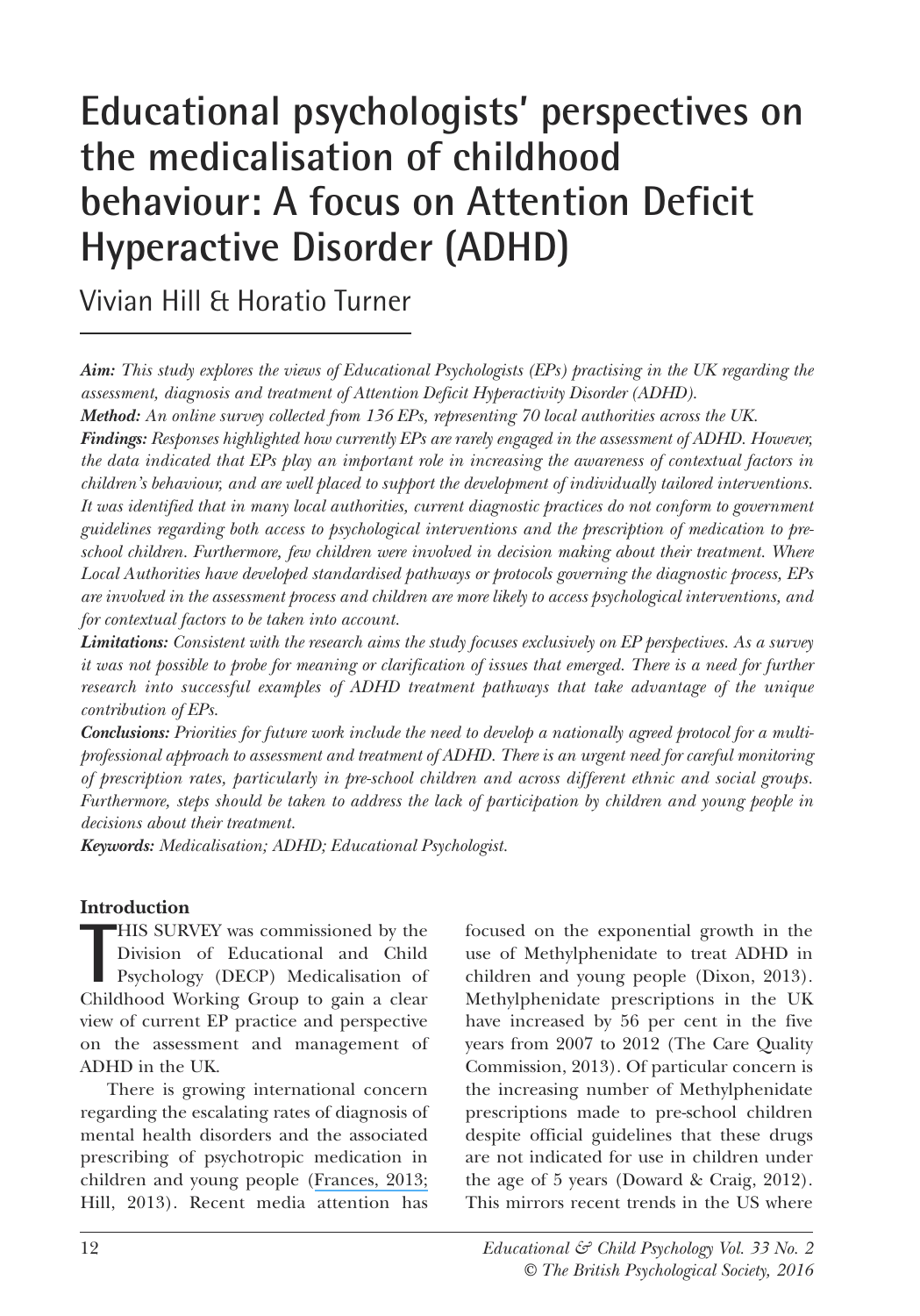## **Educational psychologists' perspectives on the medicalisation of childhood behaviour: A focus on Attention Deficit Hyperactive Disorder (ADHD)**

Vivian Hill & Horatio Turner

*Aim: This study explores the views of Educational Psychologists (EPs) practising in the UK regarding the assessment, diagnosis and treatment of Attention Deficit Hyperactivity Disorder (ADHD).*

*Method: An online survey collected from 136 EPs, representing 70 local authorities across the UK.*

*Findings: Responses highlighted how currently EPs are rarely engaged in the assessment of ADHD. However, the data indicated that EPs play an important role in increasing the awareness of contextual factors in children's behaviour, and are well placed to support the development of individually tailored interventions. It was identified that in many local authorities, current diagnostic practices do not conform to government guidelines regarding both access to psychological interventions and the prescription of medication to preschool children. Furthermore, few children were involved in decision making about their treatment. Where Local Authorities have developed standardised pathways or protocols governing the diagnostic process, EPs are involved in the assessment process and children are more likely to access psychological interventions, and for contextual factors to be taken into account.*

*Limitations: Consistent with the research aims the study focuses exclusively on EP perspectives. As a survey* it was not possible to probe for meaning or clarification of issues that emerged. There is a need for further *research into successful examples of ADHD treatment pathways that take advantage of the unique contribution of EPs.*

**Conclusions:** Priorities for future work include the need to develop a nationally agreed protocol for a multi*professional approach to assessment and treatment of ADHD. There is an urgent need for careful monitoring of prescription rates, particularly in pre-school children and across different ethnic and social groups. Furthermore, steps should be taken to address the lack of participation by children and young people in decisions about their treatment.*

*Keywords: Medicalisation; ADHD; Educational Psychologist.*

#### **Introduction**

HIS SURVEY was commissioned by the Division of Educational and Child<br>
Psychology (DECP) Medicalisation of<br>
Childhood Working Group to gain a clear HIS SURVEY was commissioned by the Division of Educational and Child Psychology (DECP) Medicalisation of view of current EP practice and perspective on the assessment and management of ADHD in the UK.

There is growing international concern regarding the escalating rates of diagnosis of mental health disorders and the associated prescribing of psychotropic medication in children and young people ([Frances,](https://www.researchgate.net/publication/285267359_Saving_normal_An_insider) 2013; Hill, 2013). Recent media attention has

focused on the exponential growth in the use of Methylphenidate to treat ADHD in children and young people (Dixon, 2013). Methylphenidate prescriptions in the UK have increased by 56 per cent in the five years from 2007 to 2012 (The Care Quality Commission, 2013). of particular concern is the increasing number of Methylphenidate prescriptions made to pre-school children despite official guidelines that these drugs are not indicated for use in children under the age of 5 years (Doward & Craig, 2012). This mirrors recent trends in the US where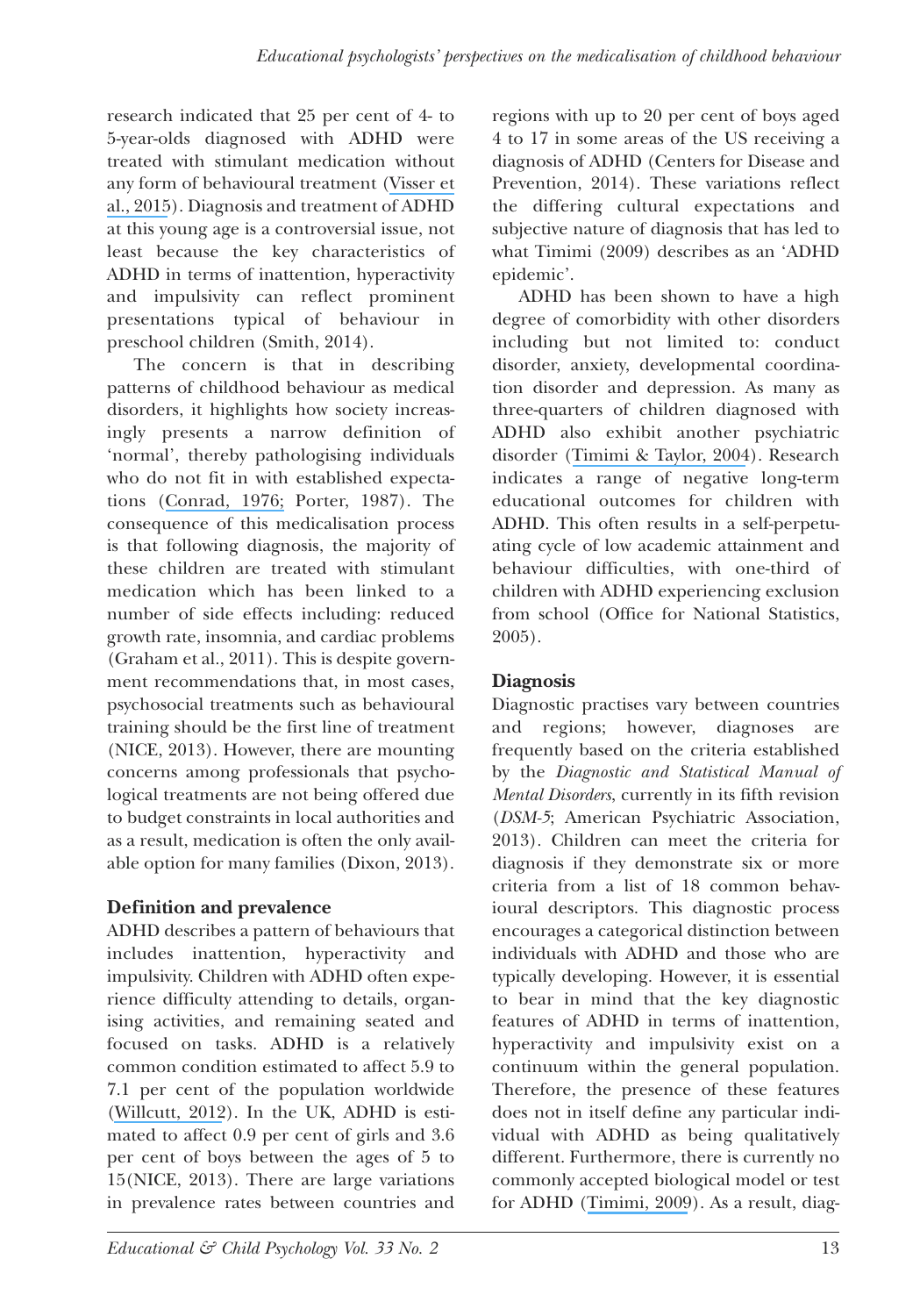research indicated that 25 per cent of 4- to 5-year-olds diagnosed with ADHD were treated with stimulant medication without any form of behavioural treatment [\(Visser](https://www.researchgate.net/publication/274513707_Treatment_of_Attention_DeficitHyperactivity_Disorder_among_Children_with_Special_Health_Care_Needs?el=1_x_8&enrichId=rgreq-66a193ecd309c8bf7bc58243ae56ceca-XXX&enrichSource=Y292ZXJQYWdlOzMwNDkwMDg0MjtBUzozODA4MTYwMTk0NzY0ODBAMTQ2NzgwNTAyMjYxOQ==) et al., [2015](https://www.researchgate.net/publication/274513707_Treatment_of_Attention_DeficitHyperactivity_Disorder_among_Children_with_Special_Health_Care_Needs?el=1_x_8&enrichId=rgreq-66a193ecd309c8bf7bc58243ae56ceca-XXX&enrichSource=Y292ZXJQYWdlOzMwNDkwMDg0MjtBUzozODA4MTYwMTk0NzY0ODBAMTQ2NzgwNTAyMjYxOQ==)). Diagnosis and treatment of ADHD at this young age is a controversial issue, not least because the key characteristics of ADHD in terms of inattention, hyperactivity and impulsivity can reflect prominent presentations typical of behaviour in preschool children (Smith, 2014).

The concern is that in describing patterns of childhood behaviour as medical disorders, it highlights how society increasingly presents a narrow definition of 'normal', thereby pathologising individuals who do not fit in with established expectations ([Conrad,](https://www.researchgate.net/publication/274350992_Identifying_Hyperactive_Children_The_Medicalization_of_Deviant_Behavior?el=1_x_8&enrichId=rgreq-66a193ecd309c8bf7bc58243ae56ceca-XXX&enrichSource=Y292ZXJQYWdlOzMwNDkwMDg0MjtBUzozODA4MTYwMTk0NzY0ODBAMTQ2NzgwNTAyMjYxOQ==) 1976; Porter, 1987). The consequence of this medicalisation process is that following diagnosis, the majority of these children are treated with stimulant medication which has been linked to a number of side effects including: reduced growth rate, insomnia, and cardiac problems (Graham et al., 2011). This is despite government recommendations that, in most cases, psychosocial treatments such as behavioural training should be the first line of treatment (NICE, 2013). However, there are mounting concerns among professionals that psychological treatments are not being offered due to budget constraints in local authorities and as a result, medication is often the only available option for many families (Dixon, 2013).

#### **Definition and prevalence**

ADHD describes a pattern of behaviours that includes inattention, hyperactivity and impulsivity. Children with ADHD often experience difficulty attending to details, organising activities, and remaining seated and focused on tasks. ADHD is a relatively common condition estimated to affect 5.9 to 7.1 per cent of the population worldwide ([Willcutt,](https://www.researchgate.net/publication/230849995_The_Prevalence_of_DSM-IV_Attention-DeficitHyperactivity_Disorder_A_Meta-Analytic_Review?el=1_x_8&enrichId=rgreq-66a193ecd309c8bf7bc58243ae56ceca-XXX&enrichSource=Y292ZXJQYWdlOzMwNDkwMDg0MjtBUzozODA4MTYwMTk0NzY0ODBAMTQ2NzgwNTAyMjYxOQ==) 2012). In the UK, ADHD is estimated to affect 0.9 per cent of girls and 3.6 per cent of boys between the ages of 5 to 15(NICE, 2013). There are large variations in prevalence rates between countries and

regions with up to 20 per cent of boys aged 4 to 17 in some areas of the US receiving a diagnosis of ADHD (Centers for Disease and Prevention, 2014). These variations reflect the differing cultural expectations and subjective nature of diagnosis that has led to what Timimi (2009) describes as an 'ADHD epidemic'.

ADHD has been shown to have a high degree of comorbidity with other disorders including but not limited to: conduct disorder, anxiety, developmental coordination disorder and depression. As many as three-quarters of children diagnosed with ADHD also exhibit another psychiatric disorder ([Timimi](https://www.researchgate.net/publication/8937507_ADHD_Is_Best_Understood_as_a_Cultural_Construct?el=1_x_8&enrichId=rgreq-66a193ecd309c8bf7bc58243ae56ceca-XXX&enrichSource=Y292ZXJQYWdlOzMwNDkwMDg0MjtBUzozODA4MTYwMTk0NzY0ODBAMTQ2NzgwNTAyMjYxOQ==) & Taylor, 2004). Research indicates a range of negative long-term educational outcomes for children with ADHD. This often results in a self-perpetuating cycle of low academic attainment and behaviour difficulties, with one-third of children with ADHD experiencing exclusion from school (office for National Statistics, 2005).

#### **Diagnosis**

Diagnostic practises vary between countries and regions; however, diagnoses are frequently based on the criteria established by the *Diagnostic and Statistical Manual of Mental Disorders*, currently in its fifth revision (*DSM-5*; American Psychiatric Association, 2013). Children can meet the criteria for diagnosis if they demonstrate six or more criteria from a list of 18 common behavioural descriptors. This diagnostic process encourages a categorical distinction between individuals with ADHD and those who are typically developing. However, it is essential to bear in mind that the key diagnostic features of ADHD in terms of inattention, hyperactivity and impulsivity exist on a continuum within the general population. Therefore, the presence of these features does not in itself define any particular individual with ADHD as being qualitatively different. Furthermore, there is currently no commonly accepted biological model or test for ADHD ([Timimi,](https://www.researchgate.net/publication/233743451_A_straight_Talking_Introduction_to_Children) 2009). As a result, diag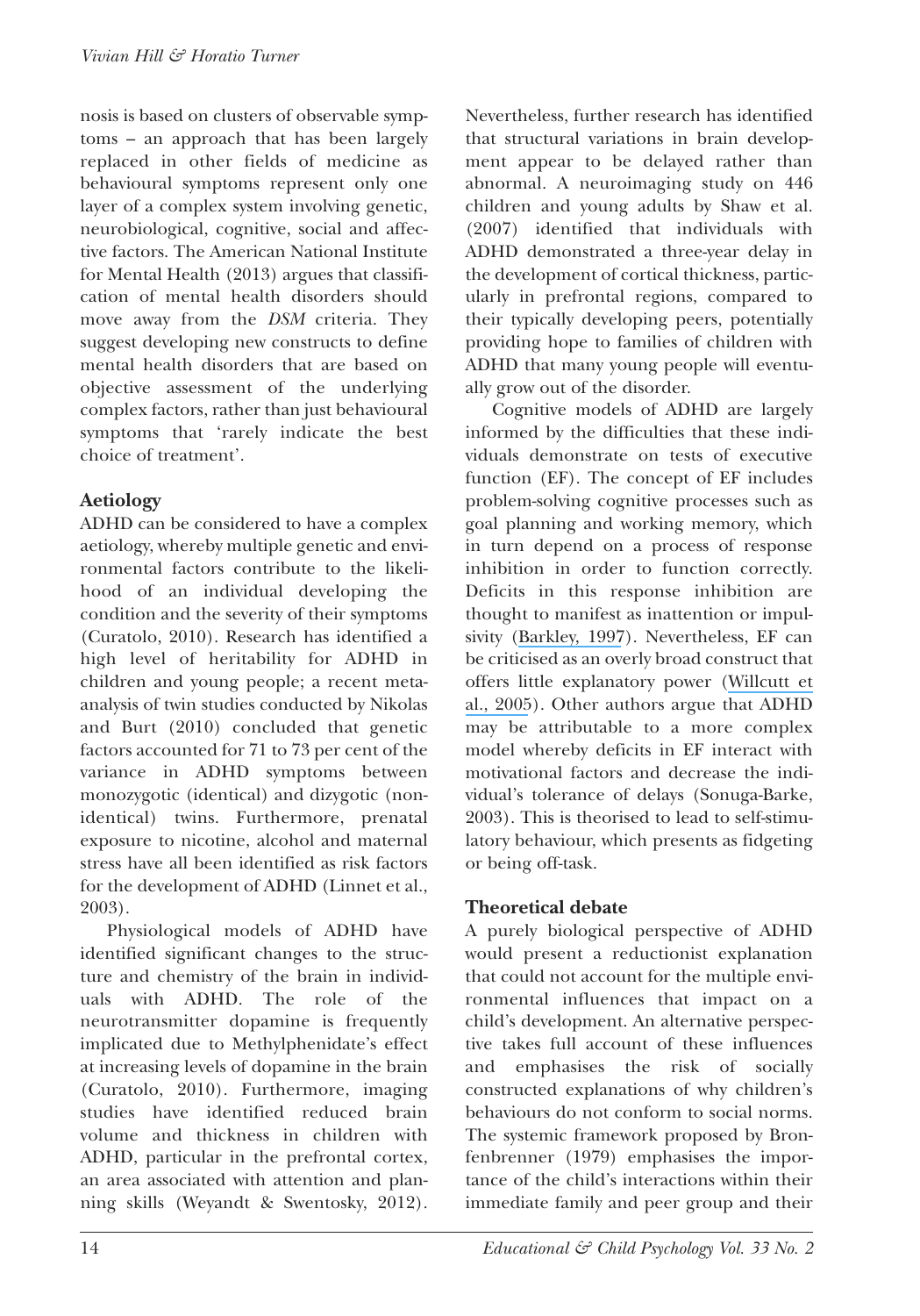nosis is based on clusters of observable symptoms – an approach that has been largely replaced in other fields of medicine as behavioural symptoms represent only one layer of a complex system involving genetic, neurobiological, cognitive, social and affective factors. The American National Institute for Mental Health (2013) argues that classification of mental health disorders should move away from the *DSM* criteria. They suggest developing new constructs to define mental health disorders that are based on objective assessment of the underlying complex factors, rather than just behavioural symptoms that 'rarely indicate the best choice of treatment'.

#### **Aetiology**

ADHD can be considered to have a complex aetiology, whereby multiple genetic and environmental factors contribute to the likelihood of an individual developing the condition and the severity of their symptoms (Curatolo, 2010). Research has identified a high level of heritability for ADHD in children and young people; a recent metaanalysis of twin studies conducted by Nikolas and Burt (2010) concluded that genetic factors accounted for 71 to 73 per cent of the variance in ADHD symptoms between monozygotic (identical) and dizygotic (nonidentical) twins. Furthermore, prenatal exposure to nicotine, alcohol and maternal stress have all been identified as risk factors for the development of ADHD (Linnet et al., 2003).

Physiological models of ADHD have identified significant changes to the structure and chemistry of the brain in individuals with ADHD. The role of the neurotransmitter dopamine is frequently implicated due to Methylphenidate's effect at increasing levels of dopamine in the brain (Curatolo, 2010). Furthermore, imaging studies have identified reduced brain volume and thickness in children with ADHD, particular in the prefrontal cortex, an area associated with attention and planning skills (Weyandt & Swentosky, 2012). Nevertheless, further research has identified that structural variations in brain development appear to be delayed rather than abnormal. A neuroimaging study on 446 children and young adults by Shaw et al. (2007) identified that individuals with ADHD demonstrated a three-year delay in the development of cortical thickness, particularly in prefrontal regions, compared to their typically developing peers, potentially providing hope to families of children with ADHD that many young people will eventually grow out of the disorder.

Cognitive models of ADHD are largely informed by the difficulties that these individuals demonstrate on tests of executive function (EF). The concept of EF includes problem-solving cognitive processes such as goal planning and working memory, which in turn depend on a process of response inhibition in order to function correctly. Deficits in this response inhibition are thought to manifest as inattention or impulsivity ([Barkley,](https://www.researchgate.net/publication/284874535_Behavioral_inhibition_sustained_attention_and_executive_Functioning_Constructing_a_unifying_theory_of_ADHD?el=1_x_8&enrichId=rgreq-66a193ecd309c8bf7bc58243ae56ceca-XXX&enrichSource=Y292ZXJQYWdlOzMwNDkwMDg0MjtBUzozODA4MTYwMTk0NzY0ODBAMTQ2NzgwNTAyMjYxOQ==) 1997). Nevertheless, EF can be criticised as an overly broad construct that offers little explanatory power ([Willcutt](https://www.researchgate.net/publication/7792685_Validity_of_the_Executive_Function_Theory_of_Attention-DeficitHyperactivity_Disorder_A_Meta-Analytic_Review?el=1_x_8&enrichId=rgreq-66a193ecd309c8bf7bc58243ae56ceca-XXX&enrichSource=Y292ZXJQYWdlOzMwNDkwMDg0MjtBUzozODA4MTYwMTk0NzY0ODBAMTQ2NzgwNTAyMjYxOQ==) et al., [2005](https://www.researchgate.net/publication/7792685_Validity_of_the_Executive_Function_Theory_of_Attention-DeficitHyperactivity_Disorder_A_Meta-Analytic_Review?el=1_x_8&enrichId=rgreq-66a193ecd309c8bf7bc58243ae56ceca-XXX&enrichSource=Y292ZXJQYWdlOzMwNDkwMDg0MjtBUzozODA4MTYwMTk0NzY0ODBAMTQ2NzgwNTAyMjYxOQ==)). other authors argue that ADHD may be attributable to a more complex model whereby deficits in EF interact with motivational factors and decrease the individual's tolerance of delays (Sonuga-Barke, 2003). This is theorised to lead to self-stimulatory behaviour, which presents as fidgeting or being off-task.

#### **Theoretical debate**

A purely biological perspective of ADHD would present a reductionist explanation that could not account for the multiple environmental influences that impact on a child's development. An alternative perspective takes full account of these influences and emphasises the risk of socially constructed explanations of why children's behaviours do not conform to social norms. The systemic framework proposed by Bronfenbrenner (1979) emphasises the importance of the child's interactions within their immediate family and peer group and their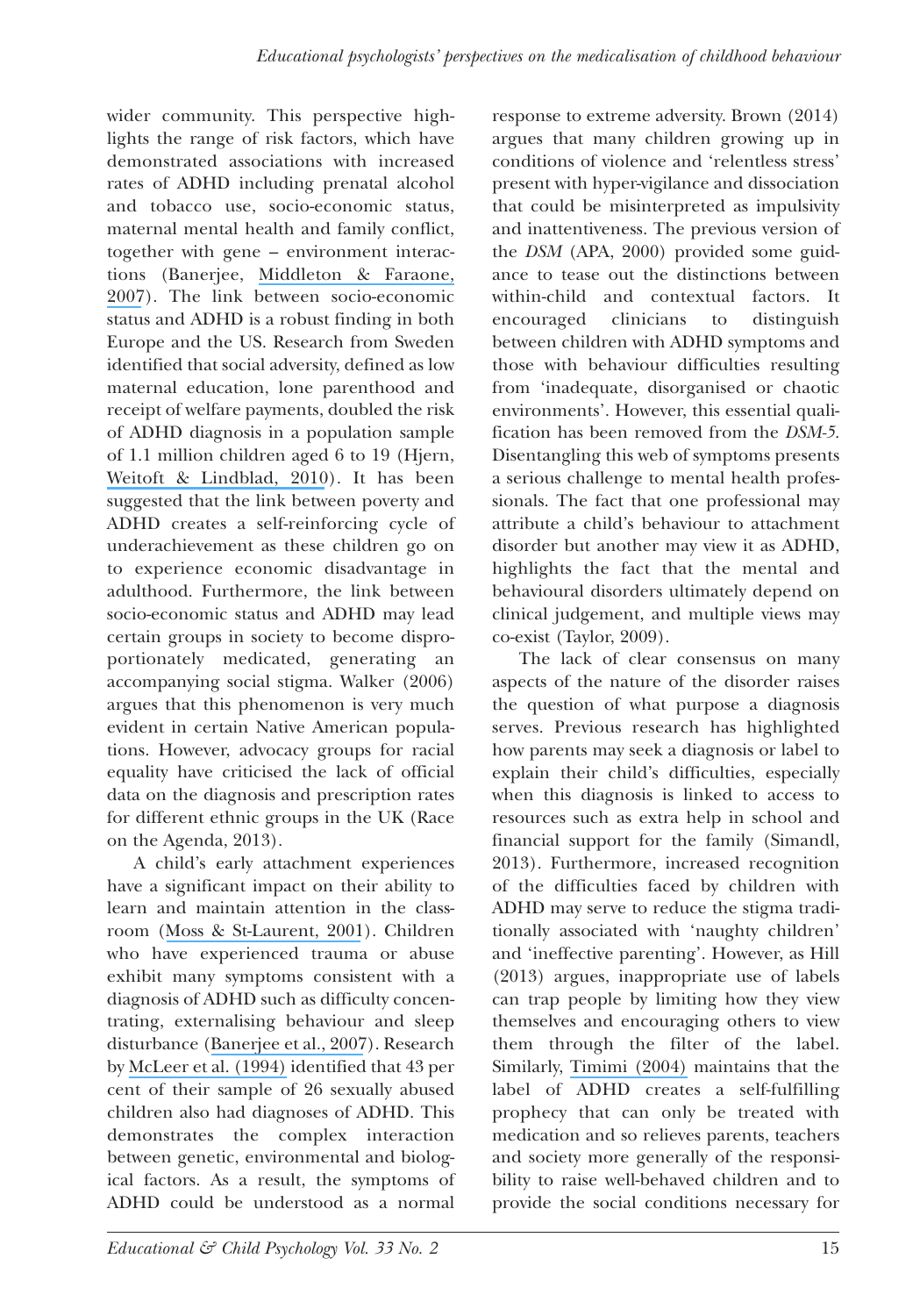wider community. This perspective highlights the range of risk factors, which have demonstrated associations with increased rates of ADHD including prenatal alcohol and tobacco use, socio-economic status, maternal mental health and family conflict, together with gene – environment interactions (Banerjee, [Middleton](https://www.researchgate.net/publication/6120916_Environmental_risk_factors_for_attention-deficit_hyperactivity_disorder?el=1_x_8&enrichId=rgreq-66a193ecd309c8bf7bc58243ae56ceca-XXX&enrichSource=Y292ZXJQYWdlOzMwNDkwMDg0MjtBUzozODA4MTYwMTk0NzY0ODBAMTQ2NzgwNTAyMjYxOQ==) & Faraone, [2007](https://www.researchgate.net/publication/6120916_Environmental_risk_factors_for_attention-deficit_hyperactivity_disorder?el=1_x_8&enrichId=rgreq-66a193ecd309c8bf7bc58243ae56ceca-XXX&enrichSource=Y292ZXJQYWdlOzMwNDkwMDg0MjtBUzozODA4MTYwMTk0NzY0ODBAMTQ2NzgwNTAyMjYxOQ==)). The link between socio-economic status and ADHD is a robust finding in both Europe and the US. Research from Sweden identified that social adversity, defined as low maternal education, lone parenthood and receipt of welfare payments, doubled the risk of ADHD diagnosis in a population sample of 1.1 million children aged 6 to 19 (Hjern, Weitoft & [Lindblad,](https://www.researchgate.net/publication/40680505_Social_adversity_predicts_ADHD-medication_in_school_children_-_A_national_cohort_study?el=1_x_8&enrichId=rgreq-66a193ecd309c8bf7bc58243ae56ceca-XXX&enrichSource=Y292ZXJQYWdlOzMwNDkwMDg0MjtBUzozODA4MTYwMTk0NzY0ODBAMTQ2NzgwNTAyMjYxOQ==) 2010). It has been suggested that the link between poverty and ADHD creates a self-reinforcing cycle of underachievement as these children go on to experience economic disadvantage in adulthood. Furthermore, the link between socio-economic status and ADHD may lead certain groups in society to become disproportionately medicated, generating an accompanying social stigma. Walker (2006) argues that this phenomenon is very much evident in certain Native American populations. However, advocacy groups for racial equality have criticised the lack of official data on the diagnosis and prescription rates for different ethnic groups in the UK (Race on the Agenda, 2013).

A child's early attachment experiences have a significant impact on their ability to learn and maintain attention in the classroom (Moss & [St-Laurent,](https://www.researchgate.net/publication/11654322_Attachment_at_school_age_and_academic_performance?el=1_x_8&enrichId=rgreq-66a193ecd309c8bf7bc58243ae56ceca-XXX&enrichSource=Y292ZXJQYWdlOzMwNDkwMDg0MjtBUzozODA4MTYwMTk0NzY0ODBAMTQ2NzgwNTAyMjYxOQ==) 2001). Children who have experienced trauma or abuse exhibit many symptoms consistent with a diagnosis of ADHD such as difficulty concentrating, externalising behaviour and sleep disturbance ([Banerjee](https://www.researchgate.net/publication/6120916_Environmental_risk_factors_for_attention-deficit_hyperactivity_disorder?el=1_x_8&enrichId=rgreq-66a193ecd309c8bf7bc58243ae56ceca-XXX&enrichSource=Y292ZXJQYWdlOzMwNDkwMDg0MjtBUzozODA4MTYwMTk0NzY0ODBAMTQ2NzgwNTAyMjYxOQ==) et al., 2007). Research by [McLeer](https://www.researchgate.net/publication/15030436_Psychiatric_Disorders_in_Sexually_Abused_Children?el=1_x_8&enrichId=rgreq-66a193ecd309c8bf7bc58243ae56ceca-XXX&enrichSource=Y292ZXJQYWdlOzMwNDkwMDg0MjtBUzozODA4MTYwMTk0NzY0ODBAMTQ2NzgwNTAyMjYxOQ==) et al. (1994) identified that 43 per cent of their sample of 26 sexually abused children also had diagnoses of ADHD. This demonstrates the complex interaction between genetic, environmental and biological factors. As a result, the symptoms of ADHD could be understood as a normal

response to extreme adversity. Brown (2014) argues that many children growing up in conditions of violence and 'relentless stress' present with hyper-vigilance and dissociation that could be misinterpreted as impulsivity and inattentiveness. The previous version of the *DSM* (APA, 2000) provided some guidance to tease out the distinctions between within-child and contextual factors. It encouraged clinicians to distinguish between children with ADHD symptoms and those with behaviour difficulties resulting from 'inadequate, disorganised or chaotic environments'. However, this essential qualification has been removed from the *DSM-5*. Disentangling this web of symptoms presents a serious challenge to mental health professionals. The fact that one professional may attribute a child's behaviour to attachment disorder but another may view it as ADHD, highlights the fact that the mental and behavioural disorders ultimately depend on clinical judgement, and multiple views may co-exist (Taylor, 2009).

The lack of clear consensus on many aspects of the nature of the disorder raises the question of what purpose a diagnosis serves. Previous research has highlighted how parents may seek a diagnosis or label to explain their child's difficulties, especially when this diagnosis is linked to access to resources such as extra help in school and financial support for the family (Simandl, 2013). Furthermore, increased recognition of the difficulties faced by children with ADHD may serve to reduce the stigma traditionally associated with 'naughty children' and 'ineffective parenting'. However, as Hill (2013) argues, inappropriate use of labels can trap people by limiting how they view themselves and encouraging others to view them through the filter of the label. Similarly, [Timimi](https://www.researchgate.net/publication/8937507_ADHD_Is_Best_Understood_as_a_Cultural_Construct?el=1_x_8&enrichId=rgreq-66a193ecd309c8bf7bc58243ae56ceca-XXX&enrichSource=Y292ZXJQYWdlOzMwNDkwMDg0MjtBUzozODA4MTYwMTk0NzY0ODBAMTQ2NzgwNTAyMjYxOQ==) (2004) maintains that the label of ADHD creates a self-fulfilling prophecy that can only be treated with medication and so relieves parents, teachers and society more generally of the responsibility to raise well-behaved children and to provide the social conditions necessary for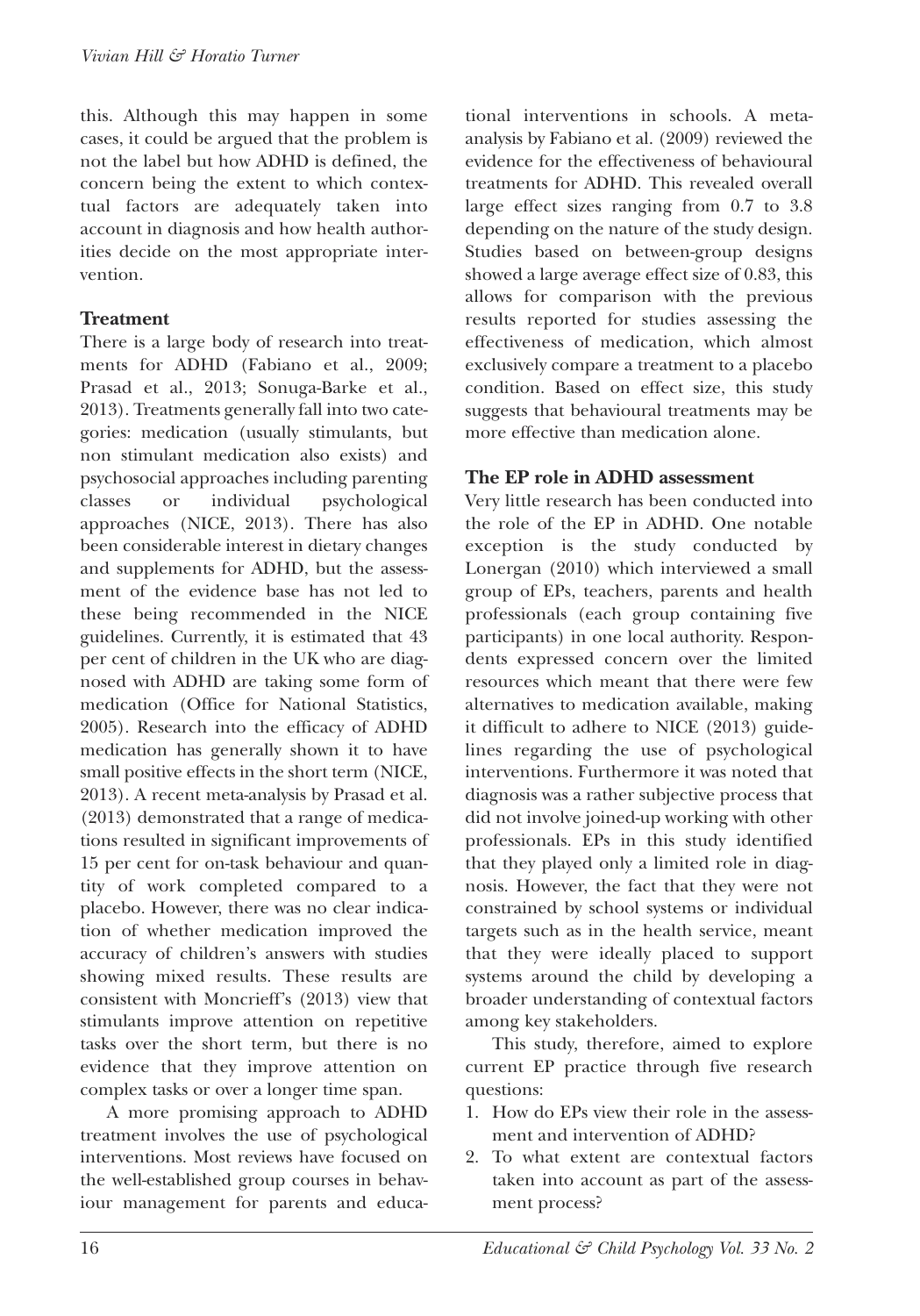this. Although this may happen in some cases, it could be argued that the problem is not the label but how ADHD is defined, the concern being the extent to which contextual factors are adequately taken into account in diagnosis and how health authorities decide on the most appropriate intervention.

#### **Treatment**

There is a large body of research into treatments for ADHD (Fabiano et al., 2009; Prasad et al., 2013; Sonuga-Barke et al., 2013). Treatments generally fall into two categories: medication (usually stimulants, but non stimulant medication also exists) and psychosocial approaches including parenting classes or individual psychological approaches (NICE, 2013). There has also been considerable interest in dietary changes and supplements for ADHD, but the assessment of the evidence base has not led to these being recommended in the NICE guidelines. Currently, it is estimated that 43 per cent of children in the UK who are diagnosed with ADHD are taking some form of medication (office for National Statistics, 2005). Research into the efficacy of ADHD medication has generally shown it to have small positive effects in the short term (NICE, 2013). A recent meta-analysis by Prasad et al. (2013) demonstrated that a range of medications resulted in significant improvements of 15 per cent for on-task behaviour and quantity of work completed compared to a placebo. However, there was no clear indication of whether medication improved the accuracy of children's answers with studies showing mixed results. These results are consistent with Moncrieff's (2013) view that stimulants improve attention on repetitive tasks over the short term, but there is no evidence that they improve attention on complex tasks or over a longer time span.

A more promising approach to ADHD treatment involves the use of psychological interventions. Most reviews have focused on the well-established group courses in behaviour management for parents and educational interventions in schools. A metaanalysis by Fabiano et al. (2009) reviewed the evidence for the effectiveness of behavioural treatments for ADHD. This revealed overall large effect sizes ranging from 0.7 to 3.8 depending on the nature of the study design. Studies based on between-group designs showed a large average effect size of 0.83, this allows for comparison with the previous results reported for studies assessing the effectiveness of medication, which almost exclusively compare a treatment to a placebo condition. Based on effect size, this study suggests that behavioural treatments may be more effective than medication alone.

#### **The EP role in ADHD assessment**

Very little research has been conducted into the role of the EP in ADHD. One notable exception is the study conducted by Lonergan (2010) which interviewed a small group of EPs, teachers, parents and health professionals (each group containing five participants) in one local authority. Respondents expressed concern over the limited resources which meant that there were few alternatives to medication available, making it difficult to adhere to NICE (2013) guidelines regarding the use of psychological interventions. Furthermore it was noted that diagnosis was a rather subjective process that did not involve joined-up working with other professionals. EPs in this study identified that they played only a limited role in diagnosis. However, the fact that they were not constrained by school systems or individual targets such as in the health service, meant that they were ideally placed to support systems around the child by developing a broader understanding of contextual factors among key stakeholders.

This study, therefore, aimed to explore current EP practice through five research questions:

- 1. How do EPs view their role in the assessment and intervention of ADHD?
- 2. To what extent are contextual factors taken into account as part of the assessment process?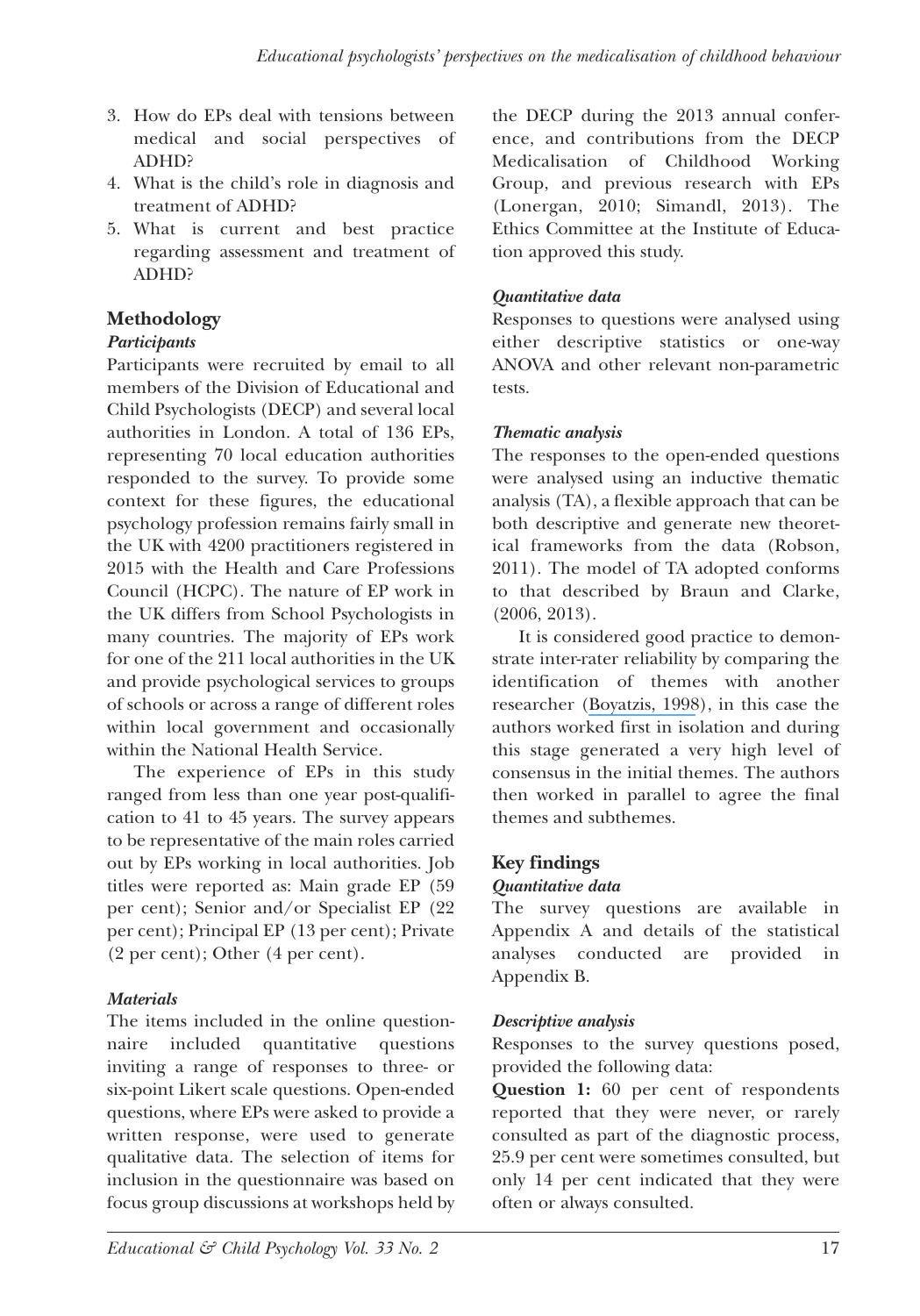- 3. How do EPs deal with tensions between medical and social perspectives of ADHD?
- 4. What is the child's role in diagnosis and treatment of ADHD?
- 5. What is current and best practice regarding assessment and treatment of ADHD?

#### **Methodology**

#### *Participants*

Participants were recruited by email to all members of the Division of Educational and Child Psychologists (DECP) and several local authorities in London. A total of 136 EPs, representing 70 local education authorities responded to the survey. To provide some context for these figures, the educational psychology profession remains fairly small in the UK with 4200 practitioners registered in 2015 with the Health and Care Professions Council (HCPC). The nature of EP work in the UK differs from School Psychologists in many countries. The majority of EPs work for one of the 211 local authorities in the UK and provide psychological services to groups of schools or across a range of different roles within local government and occasionally within the National Health Service.

The experience of EPs in this study ranged from less than one year post-qualification to 41 to 45 years. The survey appears to be representative of the main roles carried out by EPs working in local authorities. Job titles were reported as: Main grade EP (59 per cent); Senior and/or Specialist EP (22 per cent); Principal EP (13 per cent); Private  $(2 \text{ per cent})$ ; Other  $(4 \text{ per cent})$ .

#### *Materials*

The items included in the online questionnaire included quantitative questions inviting a range of responses to three- or six-point Likert scale questions. Open-ended questions, where EPs were asked to provide a written response, were used to generate qualitative data. The selection of items for inclusion in the questionnaire was based on focus group discussions at workshops held by the DECP during the 2013 annual conference, and contributions from the DECP Medicalisation of Childhood Working Group, and previous research with EPs (Lonergan, 2010; Simandl, 2013). The Ethics Committee at the Institute of Education approved this study.

#### *Quantitative data*

Responses to questions were analysed using either descriptive statistics or one-way ANoVA and other relevant non-parametric tests.

#### *Thematic analysis*

The responses to the open-ended questions were analysed using an inductive thematic analysis (TA), a flexible approach that can be both descriptive and generate new theoretical frameworks from the data (Robson, 2011). The model of TA adopted conforms to that described by Braun and Clarke, (2006, 2013).

It is considered good practice to demonstrate inter-rater reliability by comparing the identification of themes with another researcher [\(Boyatzis,](https://www.researchgate.net/publication/289675589_Transforming_qualitative_information_Thematic_analysis_code_development_sage_thousand_oaks?el=1_x_8&enrichId=rgreq-66a193ecd309c8bf7bc58243ae56ceca-XXX&enrichSource=Y292ZXJQYWdlOzMwNDkwMDg0MjtBUzozODA4MTYwMTk0NzY0ODBAMTQ2NzgwNTAyMjYxOQ==) 1998), in this case the authors worked first in isolation and during this stage generated a very high level of consensus in the initial themes. The authors then worked in parallel to agree the final themes and subthemes.

#### **Key findings**

#### *Quantitative data*

The survey questions are available in Appendix A and details of the statistical analyses conducted are provided in Appendix B.

#### *Descriptive analysis*

Responses to the survey questions posed, provided the following data:

**Question 1:** 60 per cent of respondents reported that they were never, or rarely consulted as part of the diagnostic process, 25.9 per cent were sometimes consulted, but only 14 per cent indicated that they were often or always consulted.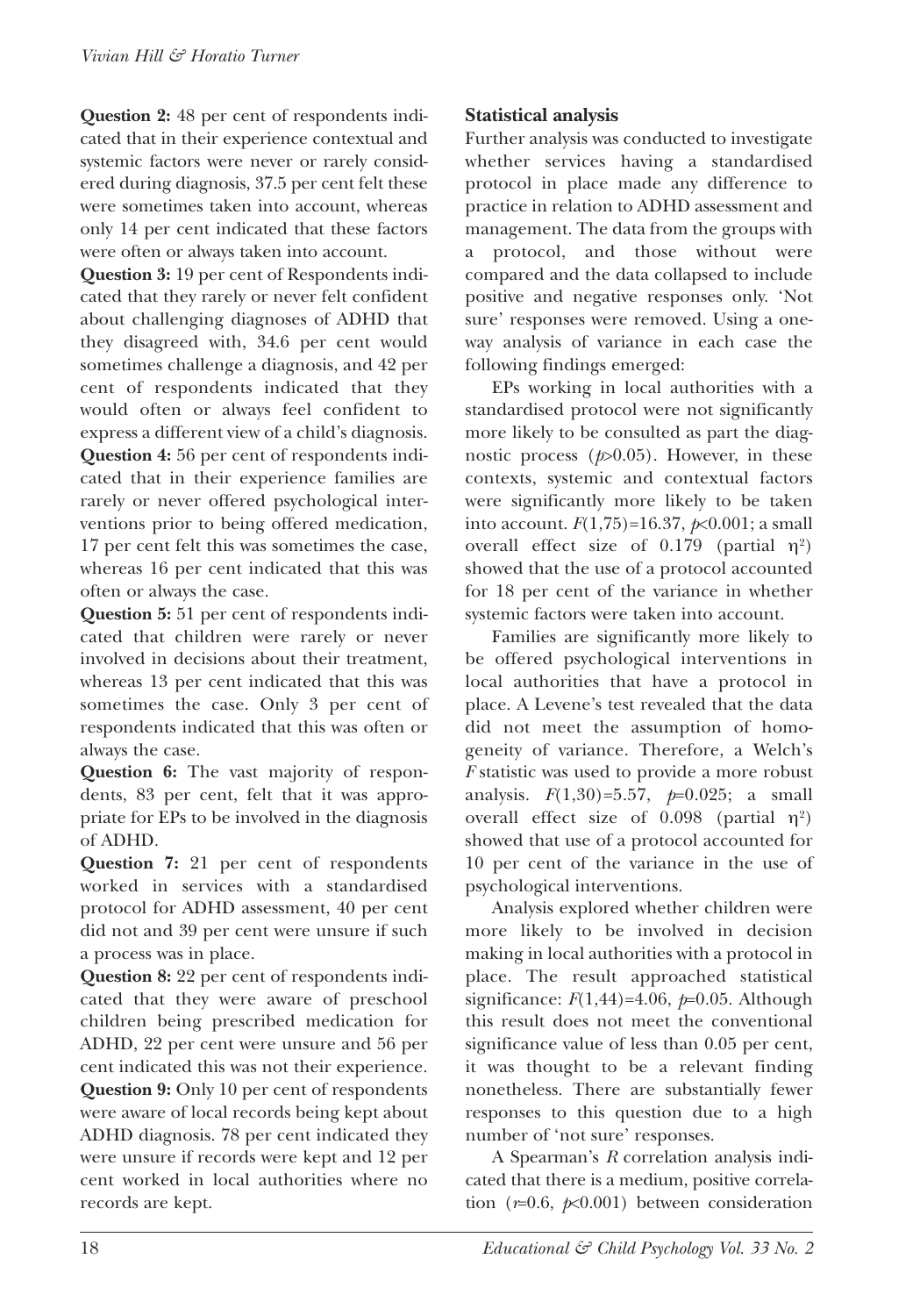**Question 2:** 48 per cent of respondents indicated that in their experience contextual and systemic factors were never or rarely considered during diagnosis, 37.5 per cent felt these were sometimes taken into account, whereas only 14 per cent indicated that these factors were often or always taken into account.

**Question 3:** 19 per cent of Respondents indicated that they rarely or never felt confident about challenging diagnoses of ADHD that they disagreed with, 34.6 per cent would sometimes challenge a diagnosis, and 42 per cent of respondents indicated that they would often or always feel confident to express a different view of a child's diagnosis. **Question 4:** 56 per cent of respondents indicated that in their experience families are rarely or never offered psychological interventions prior to being offered medication, 17 per cent felt this was sometimes the case, whereas 16 per cent indicated that this was often or always the case.

**Question 5:** 51 per cent of respondents indicated that children were rarely or never involved in decisions about their treatment, whereas 13 per cent indicated that this was sometimes the case. Only 3 per cent of respondents indicated that this was often or always the case.

**Question 6:** The vast majority of respondents, 83 per cent, felt that it was appropriate for EPs to be involved in the diagnosis of ADHD.

**Question 7:** 21 per cent of respondents worked in services with a standardised protocol for ADHD assessment, 40 per cent did not and 39 per cent were unsure if such a process was in place.

**Question 8:** 22 per cent of respondents indicated that they were aware of preschool children being prescribed medication for ADHD, 22 per cent were unsure and 56 per cent indicated this was not their experience. **Question 9:** Only 10 per cent of respondents were aware of local records being kept about ADHD diagnosis. 78 per cent indicated they were unsure if records were kept and 12 per cent worked in local authorities where no records are kept.

#### **Statistical analysis**

Further analysis was conducted to investigate whether services having a standardised protocol in place made any difference to practice in relation to ADHD assessment and management. The data from the groups with a protocol, and those without were compared and the data collapsed to include positive and negative responses only. 'Not sure' responses were removed. Using a oneway analysis of variance in each case the following findings emerged:

EPs working in local authorities with a standardised protocol were not significantly more likely to be consulted as part the diagnostic process (*p*>0.05). However, in these contexts, systemic and contextual factors were significantly more likely to be taken into account.  $F(1,75) = 16.37$ ,  $p \times 0.001$ ; a small overall effect size of 0.179 (partial  $\eta^2$ ) showed that the use of a protocol accounted for 18 per cent of the variance in whether systemic factors were taken into account.

Families are significantly more likely to be offered psychological interventions in local authorities that have a protocol in place. A Levene's test revealed that the data did not meet the assumption of homogeneity of variance. Therefore, a Welch's *F* statistic was used to provide a more robust analysis. *F*(1,30)=5.57, *p*=0.025; a small overall effect size of  $0.098$  (partial  $\eta^2$ ) showed that use of a protocol accounted for 10 per cent of the variance in the use of psychological interventions.

Analysis explored whether children were more likely to be involved in decision making in local authorities with a protocol in place. The result approached statistical significance: *F*(1,44)=4.06, *p*=0.05. Although this result does not meet the conventional significance value of less than 0.05 per cent, it was thought to be a relevant finding nonetheless. There are substantially fewer responses to this question due to a high number of 'not sure' responses.

A Spearman's *R* correlation analysis indicated that there is a medium, positive correlation  $(r=0.6, \cancel{p}<0.001)$  between consideration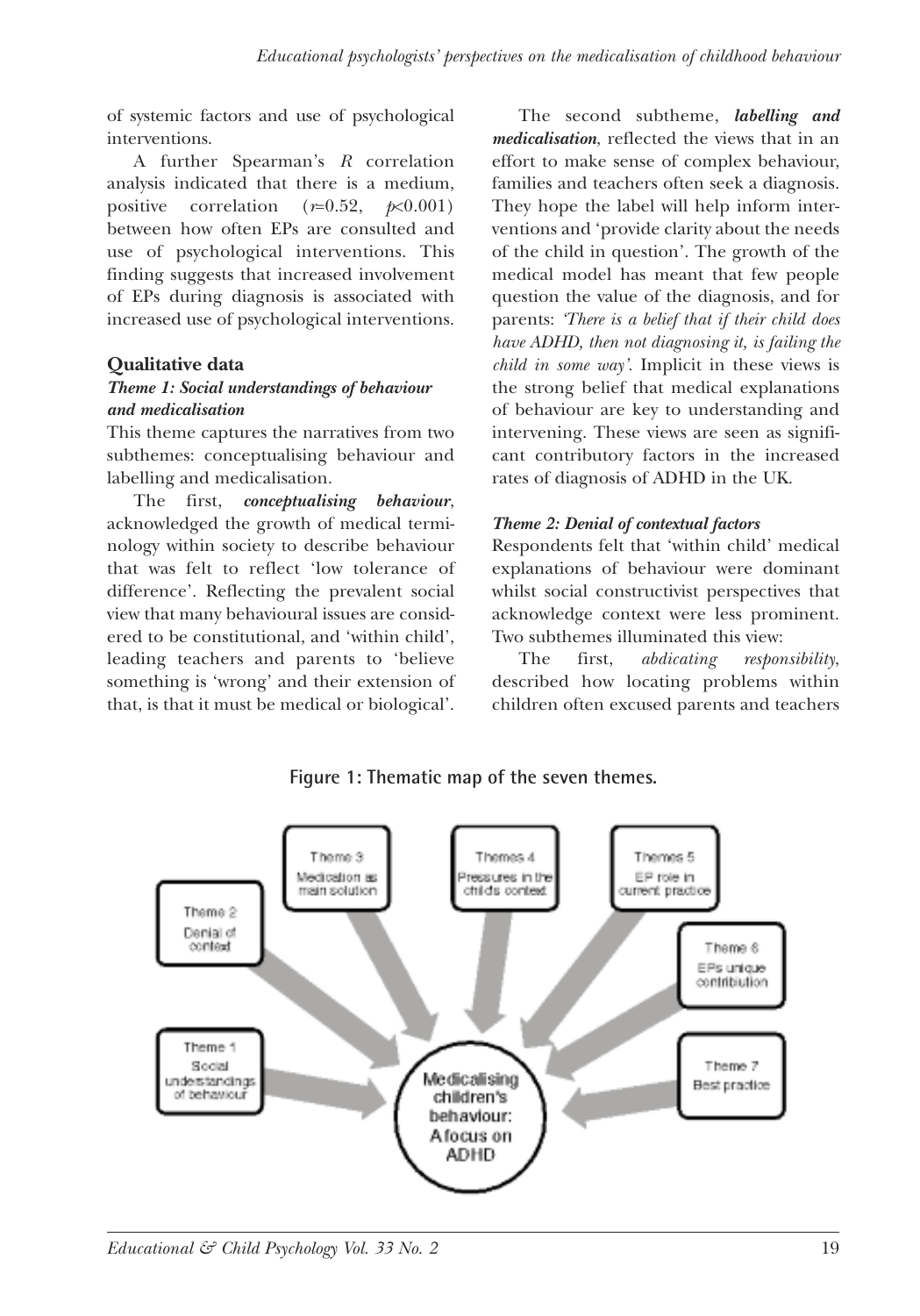of systemic factors and use of psychological interventions.

A further Spearman's *R* correlation analysis indicated that there is a medium, positive correlation  $(r=0.52, \, p<0.001)$ between how often EPs are consulted and use of psychological interventions. This finding suggests that increased involvement of EPs during diagnosis is associated with increased use of psychological interventions.

#### **Qualitative data**

#### *Theme 1: Social understandings of behaviour and medicalisation*

This theme captures the narratives from two subthemes: conceptualising behaviour and labelling and medicalisation.

The first, *conceptualising behaviour*, acknowledged the growth of medical terminology within society to describe behaviour that was felt to reflect 'low tolerance of difference'. Reflecting the prevalent social view that many behavioural issues are considered to be constitutional, and 'within child', leading teachers and parents to 'believe something is 'wrong' and their extension of that, is that it must be medical or biological'.

The second subtheme, *labelling and medicalisation*, reflected the views that in an effort to make sense of complex behaviour, families and teachers often seek a diagnosis. They hope the label will help inform interventions and 'provide clarity about the needs of the child in question'. The growth of the medical model has meant that few people question the value of the diagnosis, and for parents: *'There is a belief that if their child does have ADHD, then not diagnosing it, is failing the child in some way'.* Implicit in these views is the strong belief that medical explanations of behaviour are key to understanding and intervening. These views are seen as significant contributory factors in the increased rates of diagnosis of ADHD in the UK.

#### *Theme 2: Denial of contextual factors*

Respondents felt that 'within child' medical explanations of behaviour were dominant whilst social constructivist perspectives that acknowledge context were less prominent. Two subthemes illuminated this view:

The first, *abdicating responsibility*, described how locating problems within children often excused parents and teachers



#### **Figure 1: Thematic map of the seven themes.**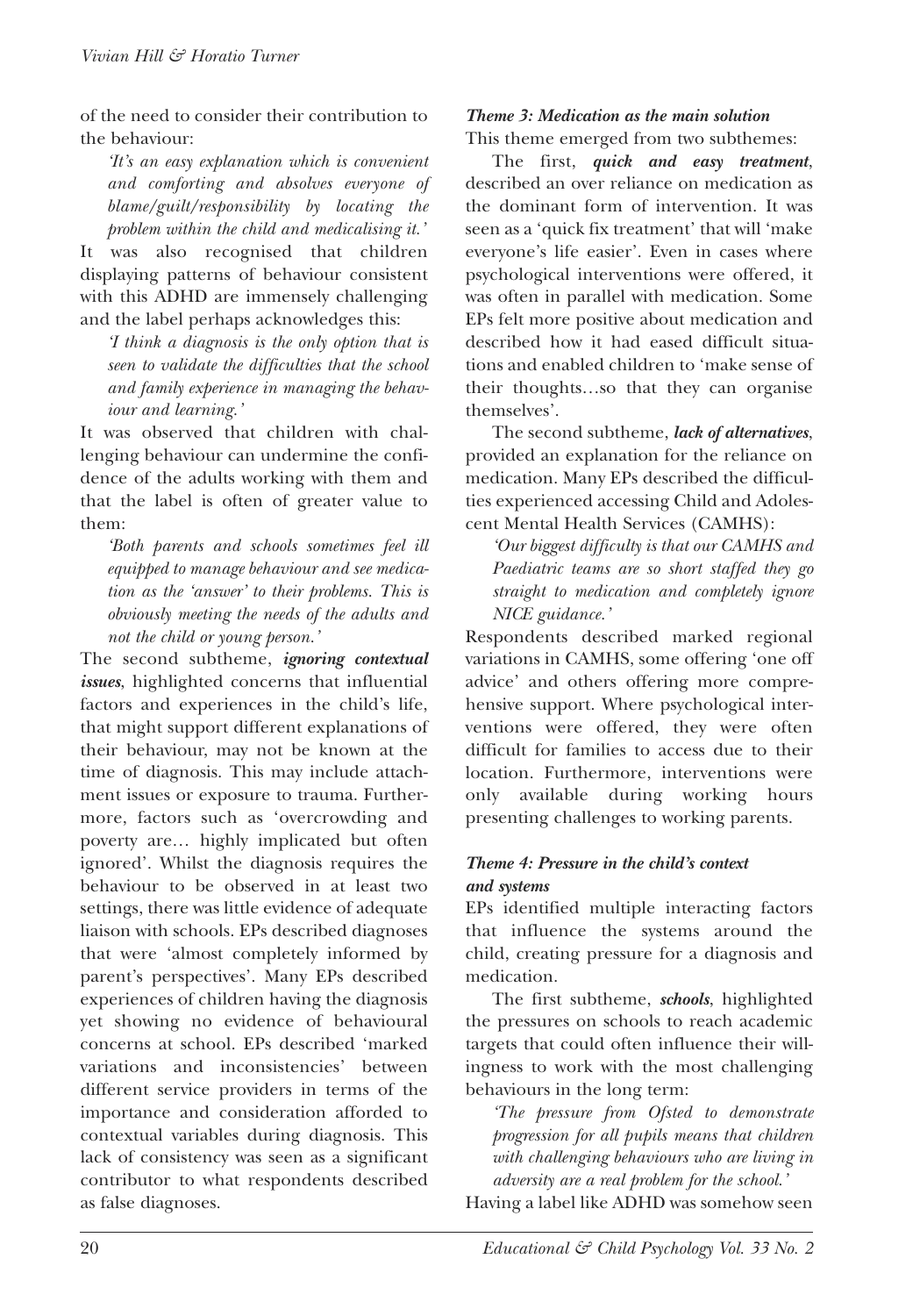of the need to consider their contribution to the behaviour:

*'It's an easy explanation which is convenient and comforting and absolves everyone of blame/guilt/responsibility by locating the problem within the child and medicalising it.'*

It was also recognised that children displaying patterns of behaviour consistent with this ADHD are immensely challenging and the label perhaps acknowledges this:

*'I think a diagnosis is the only option that is seen to validate the difficulties that the school and family experience in managing the behaviour and learning.'*

It was observed that children with challenging behaviour can undermine the confidence of the adults working with them and that the label is often of greater value to them:

*'Both parents and schools sometimes feel ill equipped to manage behaviour and see medication as the 'answer' to their problems. This is obviously meeting the needs of the adults and not the child or young person.'*

The second subtheme, *ignoring contextual issues*, highlighted concerns that influential factors and experiences in the child's life, that might support different explanations of their behaviour, may not be known at the time of diagnosis. This may include attachment issues or exposure to trauma. Furthermore, factors such as 'overcrowding and poverty are… highly implicated but often ignored'. Whilst the diagnosis requires the behaviour to be observed in at least two settings, there was little evidence of adequate liaison with schools. EPs described diagnoses that were 'almost completely informed by parent's perspectives'. Many EPs described experiences of children having the diagnosis yet showing no evidence of behavioural concerns at school. EPs described 'marked variations and inconsistencies' between different service providers in terms of the importance and consideration afforded to contextual variables during diagnosis. This lack of consistency was seen as a significant contributor to what respondents described as false diagnoses.

#### *Theme 3: Medication as the main solution* This theme emerged from two subthemes:

The first, *quick and easy treatment*, described an over reliance on medication as the dominant form of intervention. It was seen as a 'quick fix treatment' that will 'make everyone's life easier'. Even in cases where psychological interventions were offered, it was often in parallel with medication. Some EPs felt more positive about medication and described how it had eased difficult situations and enabled children to 'make sense of their thoughts…so that they can organise themselves'.

The second subtheme, *lack of alternatives*, provided an explanation for the reliance on medication. Many EPs described the difficulties experienced accessing Child and Adolescent Mental Health Services (CAMHS):

*'Our biggest difficulty is that our CAMHS and Paediatric teams are so short staffed they go straight to medication and completely ignore NICE guidance.'*

Respondents described marked regional variations in CAMHS, some offering 'one off advice' and others offering more comprehensive support. Where psychological interventions were offered, they were often difficult for families to access due to their location. Furthermore, interventions were only available during working hours presenting challenges to working parents.

#### *Theme 4: Pressure in the child's context and systems*

EPs identified multiple interacting factors that influence the systems around the child, creating pressure for a diagnosis and medication.

The first subtheme, *schools*, highlighted the pressures on schools to reach academic targets that could often influence their willingness to work with the most challenging behaviours in the long term:

*'The pressure from Ofsted to demonstrate progression for all pupils means that children with challenging behaviours who are living in adversity are a real problem for the school.'*

Having a label like ADHD was somehow seen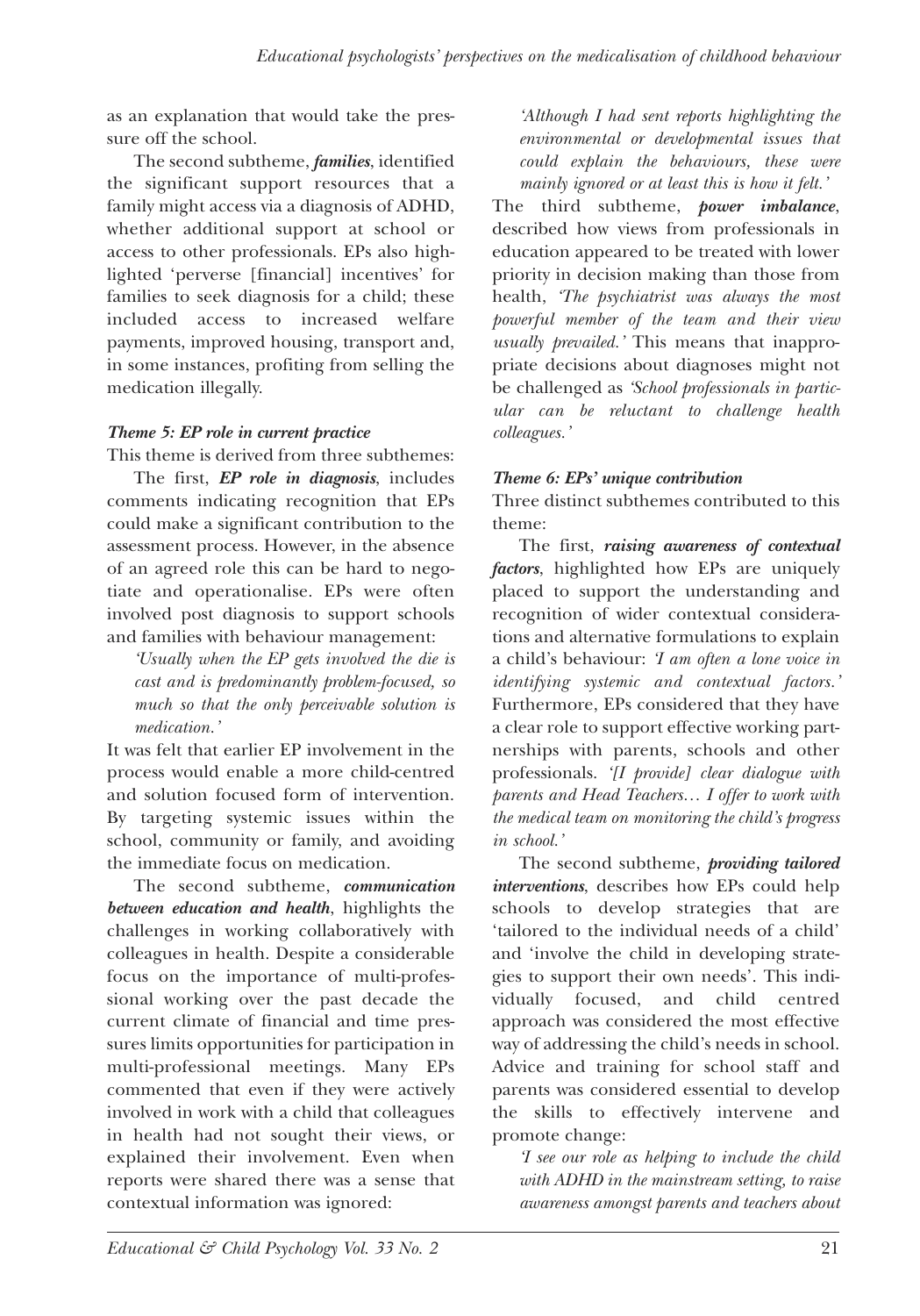as an explanation that would take the pressure off the school.

The second subtheme, *families*, identified the significant support resources that a family might access via a diagnosis of ADHD, whether additional support at school or access to other professionals. EPs also highlighted 'perverse [financial] incentives' for families to seek diagnosis for a child; these included access to increased welfare payments, improved housing, transport and, in some instances, profiting from selling the medication illegally.

#### *Theme 5: EP role in current practice*

This theme is derived from three subthemes:

The first, *EP role in diagnosis*, includes comments indicating recognition that EPs could make a significant contribution to the assessment process. However, in the absence of an agreed role this can be hard to negotiate and operationalise. EPs were often involved post diagnosis to support schools and families with behaviour management:

*'Usually when the EP gets involved the die is cast and is predominantly problem-focused, so much so that the only perceivable solution is medication.'*

It was felt that earlier EP involvement in the process would enable a more child-centred and solution focused form of intervention. By targeting systemic issues within the school, community or family, and avoiding the immediate focus on medication.

The second subtheme, *communication between education and health*, highlights the challenges in working collaboratively with colleagues in health. Despite a considerable focus on the importance of multi-professional working over the past decade the current climate of financial and time pressures limits opportunities for participation in multi-professional meetings. Many EPs commented that even if they were actively involved in work with a child that colleagues in health had not sought their views, or explained their involvement. Even when reports were shared there was a sense that contextual information was ignored:

*'Although I had sent reports highlighting the environmental or developmental issues that could explain the behaviours, these were mainly ignored or at least this is how it felt.'*

The third subtheme, *power imbalance*, described how views from professionals in education appeared to be treated with lower priority in decision making than those from health, *'The psychiatrist was always the most powerful member of the team and their view usually prevailed.'* This means that inappropriate decisions about diagnoses might not be challenged as *'School professionals in particular can be reluctant to challenge health colleagues.'*

#### *Theme 6: EPs' unique contribution*

Three distinct subthemes contributed to this theme:

The first, *raising awareness of contextual factors*, highlighted how EPs are uniquely placed to support the understanding and recognition of wider contextual considerations and alternative formulations to explain a child's behaviour: *'I am often a lone voice in identifying systemic and contextual factors.'* Furthermore, EPs considered that they have a clear role to support effective working partnerships with parents, schools and other professionals. *'[I provide] clear dialogue with parents and Head Teachers… I offer to work with the medical team on monitoring the child's progress in school.'*

The second subtheme, *providing tailored interventions*, describes how EPs could help schools to develop strategies that are 'tailored to the individual needs of a child' and 'involve the child in developing strategies to support their own needs'. This individually focused, and child centred approach was considered the most effective way of addressing the child's needs in school. Advice and training for school staff and parents was considered essential to develop the skills to effectively intervene and promote change:

*'I see our role as helping to include the child with ADHD in the mainstream setting, to raise awareness amongst parents and teachers about*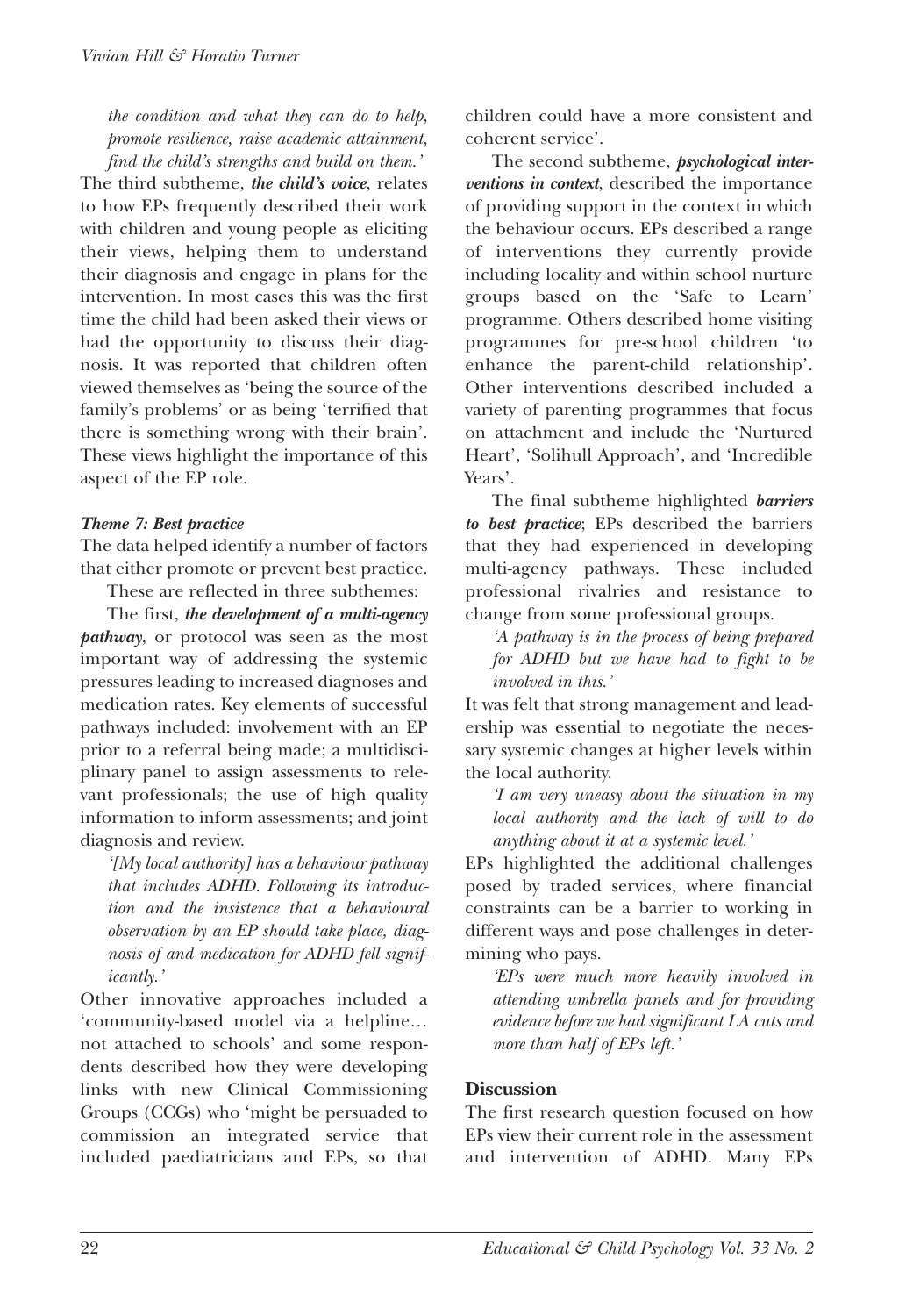*the condition and what they can do to help, promote resilience, raise academic attainment, find the child's strengths and build on them.'*

The third subtheme, *the child's voice*, relates to how EPs frequently described their work with children and young people as eliciting their views, helping them to understand their diagnosis and engage in plans for the intervention. In most cases this was the first time the child had been asked their views or had the opportunity to discuss their diagnosis. It was reported that children often viewed themselves as 'being the source of the family's problems' or as being 'terrified that there is something wrong with their brain'. These views highlight the importance of this aspect of the EP role.

#### *Theme 7: Best practice*

The data helped identify a number of factors that either promote or prevent best practice.

These are reflected in three subthemes: The first, *the development of a multi-agency*

*pathway*, or protocol was seen as the most important way of addressing the systemic pressures leading to increased diagnoses and medication rates. Key elements of successful pathways included: involvement with an EP prior to a referral being made; a multidisciplinary panel to assign assessments to relevant professionals; the use of high quality information to inform assessments; and joint diagnosis and review.

*'[My local authority] has a behaviour pathway that includes ADHD. Following its introduction and the insistence that a behavioural observation by an EP should take place, diagnosis of and medication for ADHD fell significantly.'*

other innovative approaches included a 'community-based model via a helpline… not attached to schools' and some respondents described how they were developing links with new Clinical Commissioning Groups (CCGs) who 'might be persuaded to commission an integrated service that included paediatricians and EPs, so that children could have a more consistent and coherent service'.

The second subtheme, *psychological interventions in context*, described the importance of providing support in the context in which the behaviour occurs. EPs described a range of interventions they currently provide including locality and within school nurture groups based on the 'Safe to Learn' programme. Others described home visiting programmes for pre-school children 'to enhance the parent-child relationship'. other interventions described included a variety of parenting programmes that focus on attachment and include the 'Nurtured Heart', 'Solihull Approach', and 'Incredible Years'.

The final subtheme highlighted *barriers to best practice*; EPs described the barriers that they had experienced in developing multi-agency pathways. These included professional rivalries and resistance to change from some professional groups.

*'A pathway is in the process of being prepared for ADHD but we have had to fight to be involved in this.'*

It was felt that strong management and leadership was essential to negotiate the necessary systemic changes at higher levels within the local authority.

*'I am very uneasy about the situation in my local authority and the lack of will to do anything about it at a systemic level.'*

EPs highlighted the additional challenges posed by traded services, where financial constraints can be a barrier to working in different ways and pose challenges in determining who pays.

*'EPs were much more heavily involved in attending umbrella panels and for providing evidence before we had significant LA cuts and more than half of EPs left.'*

#### **Discussion**

The first research question focused on how EPs view their current role in the assessment and intervention of ADHD. Many EPs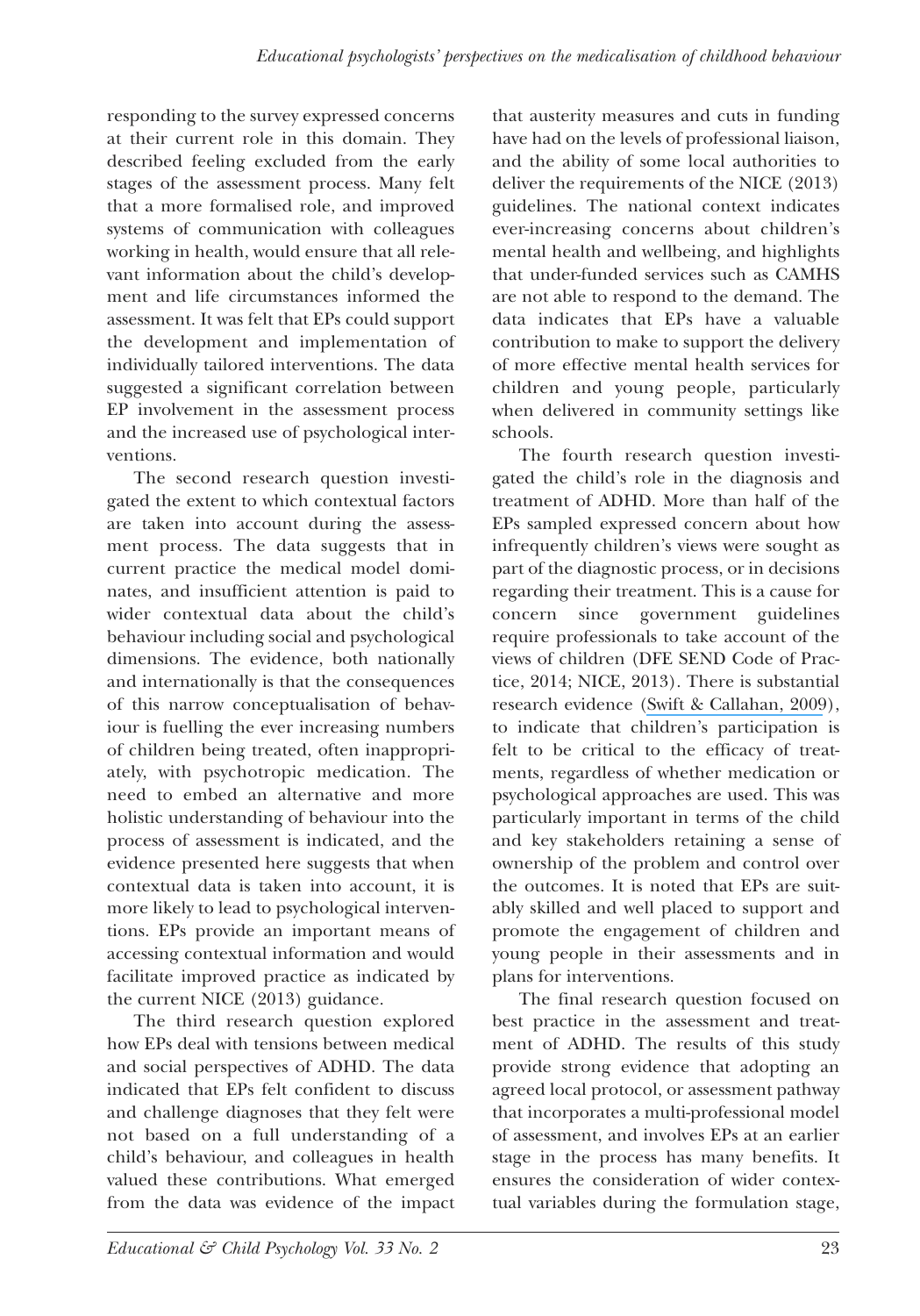responding to the survey expressed concerns at their current role in this domain. They described feeling excluded from the early stages of the assessment process. Many felt that a more formalised role, and improved systems of communication with colleagues working in health, would ensure that all relevant information about the child's development and life circumstances informed the assessment. It was felt that EPs could support the development and implementation of individually tailored interventions. The data suggested a significant correlation between EP involvement in the assessment process and the increased use of psychological interventions.

The second research question investigated the extent to which contextual factors are taken into account during the assessment process. The data suggests that in current practice the medical model dominates, and insufficient attention is paid to wider contextual data about the child's behaviour including social and psychological dimensions. The evidence, both nationally and internationally is that the consequences of this narrow conceptualisation of behaviour is fuelling the ever increasing numbers of children being treated, often inappropriately, with psychotropic medication. The need to embed an alternative and more holistic understanding of behaviour into the process of assessment is indicated, and the evidence presented here suggests that when contextual data is taken into account, it is more likely to lead to psychological interventions. EPs provide an important means of accessing contextual information and would facilitate improved practice as indicated by the current NICE (2013) guidance.

The third research question explored how EPs deal with tensions between medical and social perspectives of ADHD. The data indicated that EPs felt confident to discuss and challenge diagnoses that they felt were not based on a full understanding of a child's behaviour, and colleagues in health valued these contributions. What emerged from the data was evidence of the impact

that austerity measures and cuts in funding have had on the levels of professional liaison, and the ability of some local authorities to deliver the requirements of the NICE (2013) guidelines. The national context indicates ever-increasing concerns about children's mental health and wellbeing, and highlights that under-funded services such as CAMHS are not able to respond to the demand. The data indicates that EPs have a valuable contribution to make to support the delivery of more effective mental health services for children and young people, particularly when delivered in community settings like schools.

The fourth research question investigated the child's role in the diagnosis and treatment of ADHD. More than half of the EPs sampled expressed concern about how infrequently children's views were sought as part of the diagnostic process, or in decisions regarding their treatment. This is a cause for concern since government guidelines require professionals to take account of the views of children (DFE SEND Code of Practice, 2014; NICE, 2013). There is substantial research evidence (Swift & [Callahan,](https://www.researchgate.net/publication/24024530_The_Impact_of_Client_Treatment_Preferences_on_Outcome_A_Meta-Analysis?el=1_x_8&enrichId=rgreq-66a193ecd309c8bf7bc58243ae56ceca-XXX&enrichSource=Y292ZXJQYWdlOzMwNDkwMDg0MjtBUzozODA4MTYwMTk0NzY0ODBAMTQ2NzgwNTAyMjYxOQ==) 2009), to indicate that children's participation is felt to be critical to the efficacy of treatments, regardless of whether medication or psychological approaches are used. This was particularly important in terms of the child and key stakeholders retaining a sense of ownership of the problem and control over the outcomes. It is noted that EPs are suitably skilled and well placed to support and promote the engagement of children and young people in their assessments and in plans for interventions.

The final research question focused on best practice in the assessment and treatment of ADHD. The results of this study provide strong evidence that adopting an agreed local protocol, or assessment pathway that incorporates a multi-professional model of assessment, and involves EPs at an earlier stage in the process has many benefits. It ensures the consideration of wider contextual variables during the formulation stage,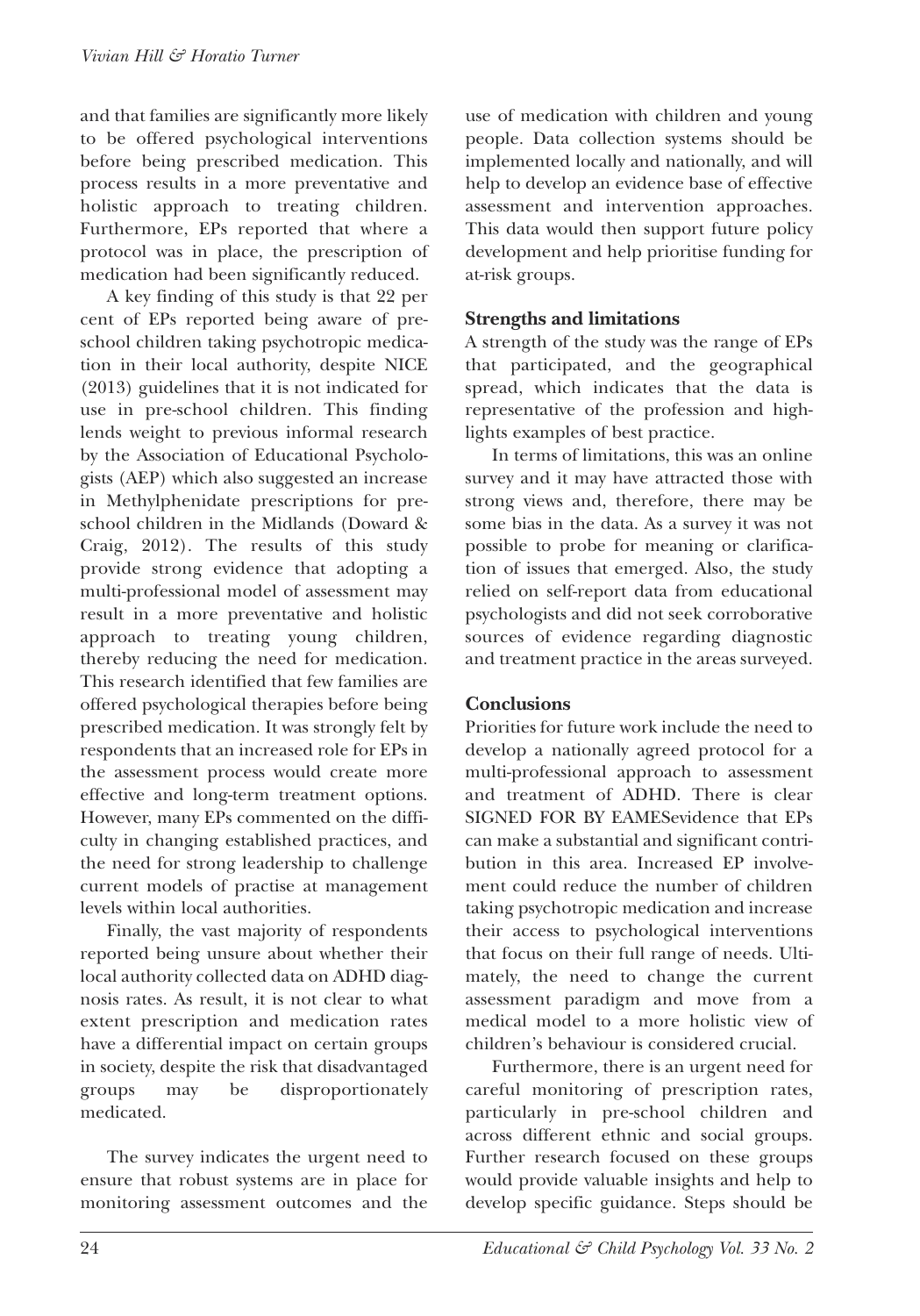and that families are significantly more likely to be offered psychological interventions before being prescribed medication. This process results in a more preventative and holistic approach to treating children. Furthermore, EPs reported that where a protocol was in place, the prescription of medication had been significantly reduced.

A key finding of this study is that 22 per cent of EPs reported being aware of preschool children taking psychotropic medication in their local authority, despite NICE (2013) guidelines that it is not indicated for use in pre-school children. This finding lends weight to previous informal research by the Association of Educational Psychologists (AEP) which also suggested an increase in Methylphenidate prescriptions for preschool children in the Midlands (Doward & Craig, 2012). The results of this study provide strong evidence that adopting a multi-professional model of assessment may result in a more preventative and holistic approach to treating young children, thereby reducing the need for medication. This research identified that few families are offered psychological therapies before being prescribed medication. It was strongly felt by respondents that an increased role for EPs in the assessment process would create more effective and long-term treatment options. However, many EPs commented on the difficulty in changing established practices, and the need for strong leadership to challenge current models of practise at management levels within local authorities.

Finally, the vast majority of respondents reported being unsure about whether their local authority collected data on ADHD diagnosis rates. As result, it is not clear to what extent prescription and medication rates have a differential impact on certain groups in society, despite the risk that disadvantaged groups may be disproportionately medicated.

The survey indicates the urgent need to ensure that robust systems are in place for monitoring assessment outcomes and the use of medication with children and young people. Data collection systems should be implemented locally and nationally, and will help to develop an evidence base of effective assessment and intervention approaches. This data would then support future policy development and help prioritise funding for at-risk groups.

#### **Strengths and limitations**

A strength of the study was the range of EPs that participated, and the geographical spread, which indicates that the data is representative of the profession and highlights examples of best practice.

In terms of limitations, this was an online survey and it may have attracted those with strong views and, therefore, there may be some bias in the data. As a survey it was not possible to probe for meaning or clarification of issues that emerged. Also, the study relied on self-report data from educational psychologists and did not seek corroborative sources of evidence regarding diagnostic and treatment practice in the areas surveyed.

#### **Conclusions**

Priorities for future work include the need to develop a nationally agreed protocol for a multi-professional approach to assessment and treatment of ADHD. There is clear SIGNED FoR BY EAMESevidence that EPs can make a substantial and significant contribution in this area. Increased EP involvement could reduce the number of children taking psychotropic medication and increase their access to psychological interventions that focus on their full range of needs. Ultimately, the need to change the current assessment paradigm and move from a medical model to a more holistic view of children's behaviour is considered crucial.

Furthermore, there is an urgent need for careful monitoring of prescription rates, particularly in pre-school children and across different ethnic and social groups. Further research focused on these groups would provide valuable insights and help to develop specific guidance. Steps should be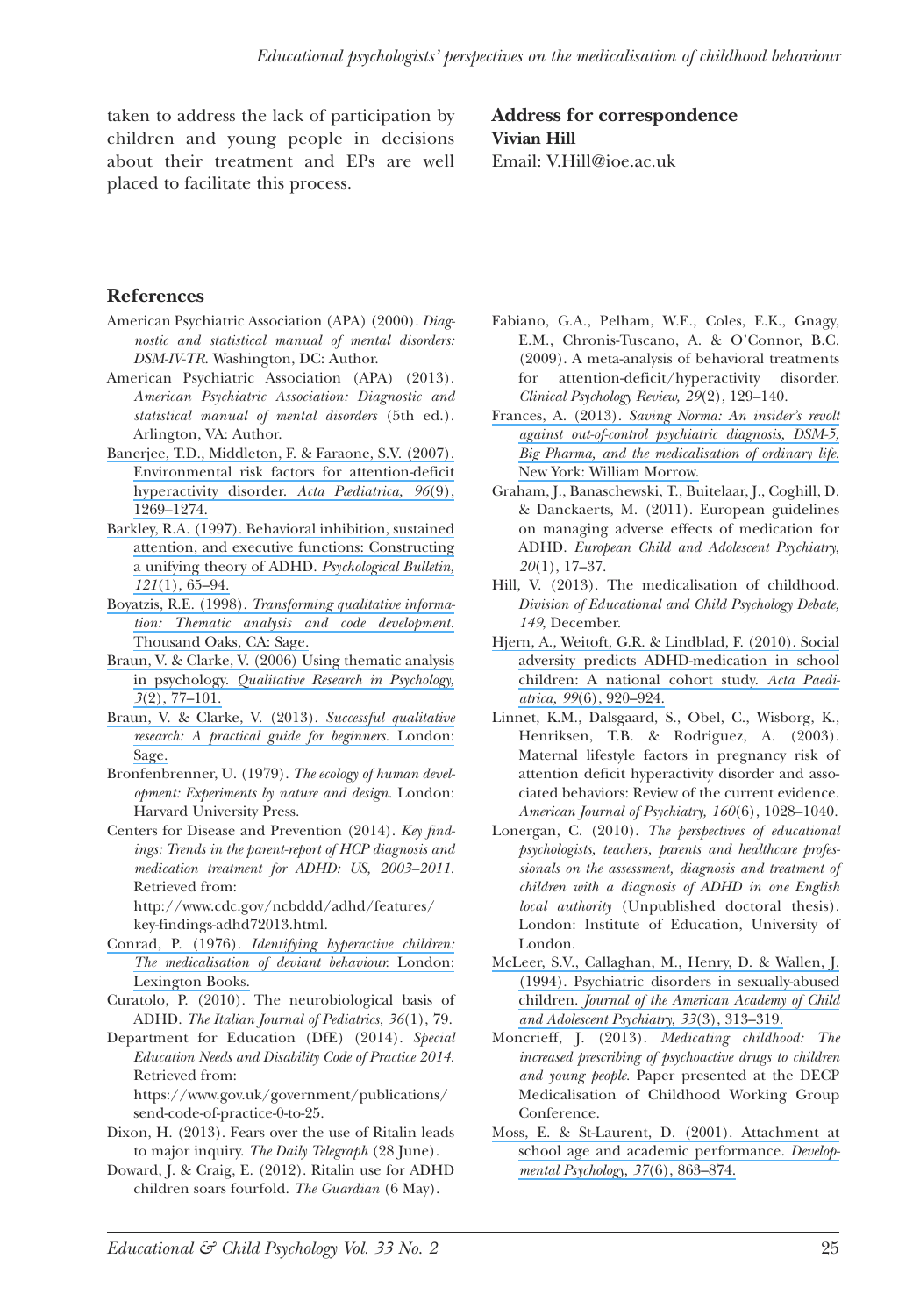taken to address the lack of participation by children and young people in decisions about their treatment and EPs are well placed to facilitate this process.

#### **Address for correspondence Vivian Hill** Email: V.Hill@ioe.ac.uk

**References**

- American Psychiatric Association (APA) (2000). *Diagnostic and statistical manual of mental disorders: DSM-IV-TR.* Washington, DC: Author.
- American Psychiatric Association (APA) (2013). *American Psychiatric Association: Diagnostic and statistical manual of mental disorders* (5th ed.). Arlington, VA: Author.
- Banerjee, T.D., [Middleton,](https://www.researchgate.net/publication/6120916_Environmental_risk_factors_for_attention-deficit_hyperactivity_disorder?el=1_x_8&enrichId=rgreq-66a193ecd309c8bf7bc58243ae56ceca-XXX&enrichSource=Y292ZXJQYWdlOzMwNDkwMDg0MjtBUzozODA4MTYwMTk0NzY0ODBAMTQ2NzgwNTAyMjYxOQ==) F. & Faraone, S.V. (2007). Environmental risk factors for [attention-deficit](https://www.researchgate.net/publication/6120916_Environmental_risk_factors_for_attention-deficit_hyperactivity_disorder?el=1_x_8&enrichId=rgreq-66a193ecd309c8bf7bc58243ae56ceca-XXX&enrichSource=Y292ZXJQYWdlOzMwNDkwMDg0MjtBUzozODA4MTYwMTk0NzY0ODBAMTQ2NzgwNTAyMjYxOQ==) [hyperactivity](https://www.researchgate.net/publication/6120916_Environmental_risk_factors_for_attention-deficit_hyperactivity_disorder?el=1_x_8&enrichId=rgreq-66a193ecd309c8bf7bc58243ae56ceca-XXX&enrichSource=Y292ZXJQYWdlOzMwNDkwMDg0MjtBUzozODA4MTYwMTk0NzY0ODBAMTQ2NzgwNTAyMjYxOQ==) disorder. *Acta Pædiatrica, 96*(9), [1269–1274.](https://www.researchgate.net/publication/6120916_Environmental_risk_factors_for_attention-deficit_hyperactivity_disorder?el=1_x_8&enrichId=rgreq-66a193ecd309c8bf7bc58243ae56ceca-XXX&enrichSource=Y292ZXJQYWdlOzMwNDkwMDg0MjtBUzozODA4MTYwMTk0NzY0ODBAMTQ2NzgwNTAyMjYxOQ==)
- Barkley, R.A. (1997). [Behavioral](https://www.researchgate.net/publication/284874535_Behavioral_inhibition_sustained_attention_and_executive_Functioning_Constructing_a_unifying_theory_of_ADHD?el=1_x_8&enrichId=rgreq-66a193ecd309c8bf7bc58243ae56ceca-XXX&enrichSource=Y292ZXJQYWdlOzMwNDkwMDg0MjtBUzozODA4MTYwMTk0NzY0ODBAMTQ2NzgwNTAyMjYxOQ==) inhibition, sustained attention, and executive functions: [Constructing](https://www.researchgate.net/publication/284874535_Behavioral_inhibition_sustained_attention_and_executive_Functioning_Constructing_a_unifying_theory_of_ADHD?el=1_x_8&enrichId=rgreq-66a193ecd309c8bf7bc58243ae56ceca-XXX&enrichSource=Y292ZXJQYWdlOzMwNDkwMDg0MjtBUzozODA4MTYwMTk0NzY0ODBAMTQ2NzgwNTAyMjYxOQ==) a unifying theory of ADHD. *[Psychological](https://www.researchgate.net/publication/284874535_Behavioral_inhibition_sustained_attention_and_executive_Functioning_Constructing_a_unifying_theory_of_ADHD?el=1_x_8&enrichId=rgreq-66a193ecd309c8bf7bc58243ae56ceca-XXX&enrichSource=Y292ZXJQYWdlOzMwNDkwMDg0MjtBUzozODA4MTYwMTk0NzY0ODBAMTQ2NzgwNTAyMjYxOQ==) Bulletin, 121*(1), [65–94.](https://www.researchgate.net/publication/284874535_Behavioral_inhibition_sustained_attention_and_executive_Functioning_Constructing_a_unifying_theory_of_ADHD?el=1_x_8&enrichId=rgreq-66a193ecd309c8bf7bc58243ae56ceca-XXX&enrichSource=Y292ZXJQYWdlOzMwNDkwMDg0MjtBUzozODA4MTYwMTk0NzY0ODBAMTQ2NzgwNTAyMjYxOQ==)
- Boyatzis, R.E. (1998). *[Transforming](https://www.researchgate.net/publication/289675589_Transforming_qualitative_information_Thematic_analysis_code_development_sage_thousand_oaks?el=1_x_8&enrichId=rgreq-66a193ecd309c8bf7bc58243ae56ceca-XXX&enrichSource=Y292ZXJQYWdlOzMwNDkwMDg0MjtBUzozODA4MTYwMTk0NzY0ODBAMTQ2NzgwNTAyMjYxOQ==) qualitative information: Thematic analysis and code [development.](https://www.researchgate.net/publication/289675589_Transforming_qualitative_information_Thematic_analysis_code_development_sage_thousand_oaks?el=1_x_8&enrichId=rgreq-66a193ecd309c8bf7bc58243ae56ceca-XXX&enrichSource=Y292ZXJQYWdlOzMwNDkwMDg0MjtBUzozODA4MTYwMTk0NzY0ODBAMTQ2NzgwNTAyMjYxOQ==)* [Thousand](https://www.researchgate.net/publication/289675589_Transforming_qualitative_information_Thematic_analysis_code_development_sage_thousand_oaks?el=1_x_8&enrichId=rgreq-66a193ecd309c8bf7bc58243ae56ceca-XXX&enrichSource=Y292ZXJQYWdlOzMwNDkwMDg0MjtBUzozODA4MTYwMTk0NzY0ODBAMTQ2NzgwNTAyMjYxOQ==) Oaks, CA: Sage.
- Braun, V. & Clarke, V. (2006) Using [thematic](https://www.researchgate.net/publication/235356393_Using_Thematic_Analysis_in_Psychology?el=1_x_8&enrichId=rgreq-66a193ecd309c8bf7bc58243ae56ceca-XXX&enrichSource=Y292ZXJQYWdlOzMwNDkwMDg0MjtBUzozODA4MTYwMTk0NzY0ODBAMTQ2NzgwNTAyMjYxOQ==) analysis in [psychology.](https://www.researchgate.net/publication/235356393_Using_Thematic_Analysis_in_Psychology?el=1_x_8&enrichId=rgreq-66a193ecd309c8bf7bc58243ae56ceca-XXX&enrichSource=Y292ZXJQYWdlOzMwNDkwMDg0MjtBUzozODA4MTYwMTk0NzY0ODBAMTQ2NzgwNTAyMjYxOQ==) *Qualitative Research in Psychology, 3*(2), [77–101.](https://www.researchgate.net/publication/235356393_Using_Thematic_Analysis_in_Psychology?el=1_x_8&enrichId=rgreq-66a193ecd309c8bf7bc58243ae56ceca-XXX&enrichSource=Y292ZXJQYWdlOzMwNDkwMDg0MjtBUzozODA4MTYwMTk0NzY0ODBAMTQ2NzgwNTAyMjYxOQ==)
- Braun, V. & Clarke, V. (2013). *Successful [qualitative](https://www.researchgate.net/publication/256089360_Successful_Qualitative_Research_A_Practical_Guide_for_Beginners?el=1_x_8&enrichId=rgreq-66a193ecd309c8bf7bc58243ae56ceca-XXX&enrichSource=Y292ZXJQYWdlOzMwNDkwMDg0MjtBUzozODA4MTYwMTk0NzY0ODBAMTQ2NzgwNTAyMjYxOQ==) research: A practical guide for [beginners.](https://www.researchgate.net/publication/256089360_Successful_Qualitative_Research_A_Practical_Guide_for_Beginners?el=1_x_8&enrichId=rgreq-66a193ecd309c8bf7bc58243ae56ceca-XXX&enrichSource=Y292ZXJQYWdlOzMwNDkwMDg0MjtBUzozODA4MTYwMTk0NzY0ODBAMTQ2NzgwNTAyMjYxOQ==)* London: [Sage.](https://www.researchgate.net/publication/256089360_Successful_Qualitative_Research_A_Practical_Guide_for_Beginners?el=1_x_8&enrichId=rgreq-66a193ecd309c8bf7bc58243ae56ceca-XXX&enrichSource=Y292ZXJQYWdlOzMwNDkwMDg0MjtBUzozODA4MTYwMTk0NzY0ODBAMTQ2NzgwNTAyMjYxOQ==)
- Bronfenbrenner, U. (1979). *The ecology of human development: Experiments by nature and design.* London: Harvard University Press.
- Centers for Disease and Prevention (2014). *Key findings: Trends in the parent-report of HCP diagnosis and medication treatment for ADHD: US, 2003–2011.* Retrieved from:

http://www.cdc.gov/ncbddd/adhd/features/ key-findings-adhd72013.html.

- Conrad, P. (1976). *Identifying [hyperactive](https://www.researchgate.net/publication/274350992_Identifying_Hyperactive_Children_The_Medicalization_of_Deviant_Behavior?el=1_x_8&enrichId=rgreq-66a193ecd309c8bf7bc58243ae56ceca-XXX&enrichSource=Y292ZXJQYWdlOzMwNDkwMDg0MjtBUzozODA4MTYwMTk0NzY0ODBAMTQ2NzgwNTAyMjYxOQ==) children: The [medicalisation](https://www.researchgate.net/publication/274350992_Identifying_Hyperactive_Children_The_Medicalization_of_Deviant_Behavior?el=1_x_8&enrichId=rgreq-66a193ecd309c8bf7bc58243ae56ceca-XXX&enrichSource=Y292ZXJQYWdlOzMwNDkwMDg0MjtBUzozODA4MTYwMTk0NzY0ODBAMTQ2NzgwNTAyMjYxOQ==) of deviant behaviour.* London: [Lexington](https://www.researchgate.net/publication/274350992_Identifying_Hyperactive_Children_The_Medicalization_of_Deviant_Behavior?el=1_x_8&enrichId=rgreq-66a193ecd309c8bf7bc58243ae56ceca-XXX&enrichSource=Y292ZXJQYWdlOzMwNDkwMDg0MjtBUzozODA4MTYwMTk0NzY0ODBAMTQ2NzgwNTAyMjYxOQ==) Books.
- Curatolo, P. (2010). The neurobiological basis of ADHD. *The Italian Journal of Pediatrics, 36*(1), 79.
- Department for Education (DfE) (2014). *Special Education Needs and Disability Code of Practice 2014.* Retrieved from:

https://www.gov.uk/government/publications/ send-code-of-practice-0-to-25.

- Dixon, H. (2013). Fears over the use of Ritalin leads to major inquiry. *The Daily Telegraph* (28 June).
- Doward, J. & Craig, E. (2012). Ritalin use for ADHD children soars fourfold. *The Guardian* (6 May).
- Fabiano, G.A., Pelham, W.E., Coles, E.K., Gnagy, E.M., Chronis-Tuscano, A. & O'Connor, B.C. (2009). A meta-analysis of behavioral treatments for attention-deficit/hyperactivity disorder. *Clinical Psychology Review, 29*(2), 129–140.
- [Frances,](https://www.researchgate.net/publication/285267359_Saving_normal_An_insider) A. (2013). *Saving Norma: An insider's revolt against [out-of-control](https://www.researchgate.net/publication/285267359_Saving_normal_An_insider) psychiatric diagnosis, DSM-5, Big Pharma, and the [medicalisation](https://www.researchgate.net/publication/285267359_Saving_normal_An_insider) of ordinary life.* New York: William [Morrow.](https://www.researchgate.net/publication/285267359_Saving_normal_An_insider)
- Graham, J., Banaschewski, T., Buitelaar, J., Coghill, D. & Danckaerts, M. (2011). European guidelines on managing adverse effects of medication for ADHD. *European Child and Adolescent Psychiatry, 20*(1), 17–37.
- Hill, V. (2013). The medicalisation of childhood. *Division of Educational and Child Psychology Debate, 149*, December.
- Hjern, A., Weitoft, G.R. & [Lindblad,](https://www.researchgate.net/publication/40680505_Social_adversity_predicts_ADHD-medication_in_school_children_-_A_national_cohort_study?el=1_x_8&enrichId=rgreq-66a193ecd309c8bf7bc58243ae56ceca-XXX&enrichSource=Y292ZXJQYWdlOzMwNDkwMDg0MjtBUzozODA4MTYwMTk0NzY0ODBAMTQ2NzgwNTAyMjYxOQ==) F. (2010). Social adversity predicts [ADHD-medication](https://www.researchgate.net/publication/40680505_Social_adversity_predicts_ADHD-medication_in_school_children_-_A_national_cohort_study?el=1_x_8&enrichId=rgreq-66a193ecd309c8bf7bc58243ae56ceca-XXX&enrichSource=Y292ZXJQYWdlOzMwNDkwMDg0MjtBUzozODA4MTYwMTk0NzY0ODBAMTQ2NzgwNTAyMjYxOQ==) in school [children:](https://www.researchgate.net/publication/40680505_Social_adversity_predicts_ADHD-medication_in_school_children_-_A_national_cohort_study?el=1_x_8&enrichId=rgreq-66a193ecd309c8bf7bc58243ae56ceca-XXX&enrichSource=Y292ZXJQYWdlOzMwNDkwMDg0MjtBUzozODA4MTYwMTk0NzY0ODBAMTQ2NzgwNTAyMjYxOQ==) A national cohort study. *Acta Paediatrica, 99*(6), [920–924.](https://www.researchgate.net/publication/40680505_Social_adversity_predicts_ADHD-medication_in_school_children_-_A_national_cohort_study?el=1_x_8&enrichId=rgreq-66a193ecd309c8bf7bc58243ae56ceca-XXX&enrichSource=Y292ZXJQYWdlOzMwNDkwMDg0MjtBUzozODA4MTYwMTk0NzY0ODBAMTQ2NzgwNTAyMjYxOQ==)
- Linnet, K.M., Dalsgaard, S., obel, C., Wisborg, K., Henriksen, T.B. & Rodriguez, A. (2003). Maternal lifestyle factors in pregnancy risk of attention deficit hyperactivity disorder and associated behaviors: Review of the current evidence. *American Journal of Psychiatry, 160*(6), 1028–1040.
- Lonergan, C. (2010). *The perspectives of educational psychologists, teachers, parents and healthcare professionals on the assessment, diagnosis and treatment of children with a diagnosis of ADHD in one English local authority* (Unpublished doctoral thesis). London: Institute of Education, University of London.
- McLeer, S.V., [Callaghan,](https://www.researchgate.net/publication/15030436_Psychiatric_Disorders_in_Sexually_Abused_Children?el=1_x_8&enrichId=rgreq-66a193ecd309c8bf7bc58243ae56ceca-XXX&enrichSource=Y292ZXJQYWdlOzMwNDkwMDg0MjtBUzozODA4MTYwMTk0NzY0ODBAMTQ2NzgwNTAyMjYxOQ==) M., Henry, D. & Wallen, J. (1994). Psychiatric disorders in [sexually-abused](https://www.researchgate.net/publication/15030436_Psychiatric_Disorders_in_Sexually_Abused_Children?el=1_x_8&enrichId=rgreq-66a193ecd309c8bf7bc58243ae56ceca-XXX&enrichSource=Y292ZXJQYWdlOzMwNDkwMDg0MjtBUzozODA4MTYwMTk0NzY0ODBAMTQ2NzgwNTAyMjYxOQ==) [children.](https://www.researchgate.net/publication/15030436_Psychiatric_Disorders_in_Sexually_Abused_Children?el=1_x_8&enrichId=rgreq-66a193ecd309c8bf7bc58243ae56ceca-XXX&enrichSource=Y292ZXJQYWdlOzMwNDkwMDg0MjtBUzozODA4MTYwMTk0NzY0ODBAMTQ2NzgwNTAyMjYxOQ==) *Journal of the American Academy of Child and Adolescent [Psychiatry,](https://www.researchgate.net/publication/15030436_Psychiatric_Disorders_in_Sexually_Abused_Children?el=1_x_8&enrichId=rgreq-66a193ecd309c8bf7bc58243ae56ceca-XXX&enrichSource=Y292ZXJQYWdlOzMwNDkwMDg0MjtBUzozODA4MTYwMTk0NzY0ODBAMTQ2NzgwNTAyMjYxOQ==) 33*(3), 313–319.
- Moncrieff, J. (2013). *Medicating childhood: The increased prescribing of psychoactive drugs to children and young people.* Paper presented at the DECP Medicalisation of Childhood Working Group Conference.
- Moss, E. & St-Laurent, D. (2001). [Attachment](https://www.researchgate.net/publication/11654322_Attachment_at_school_age_and_academic_performance?el=1_x_8&enrichId=rgreq-66a193ecd309c8bf7bc58243ae56ceca-XXX&enrichSource=Y292ZXJQYWdlOzMwNDkwMDg0MjtBUzozODA4MTYwMTk0NzY0ODBAMTQ2NzgwNTAyMjYxOQ==) at school age and academic [performance.](https://www.researchgate.net/publication/11654322_Attachment_at_school_age_and_academic_performance?el=1_x_8&enrichId=rgreq-66a193ecd309c8bf7bc58243ae56ceca-XXX&enrichSource=Y292ZXJQYWdlOzMwNDkwMDg0MjtBUzozODA4MTYwMTk0NzY0ODBAMTQ2NzgwNTAyMjYxOQ==) *Developmental [Psychology,](https://www.researchgate.net/publication/11654322_Attachment_at_school_age_and_academic_performance?el=1_x_8&enrichId=rgreq-66a193ecd309c8bf7bc58243ae56ceca-XXX&enrichSource=Y292ZXJQYWdlOzMwNDkwMDg0MjtBUzozODA4MTYwMTk0NzY0ODBAMTQ2NzgwNTAyMjYxOQ==) 37*(6), 863–874.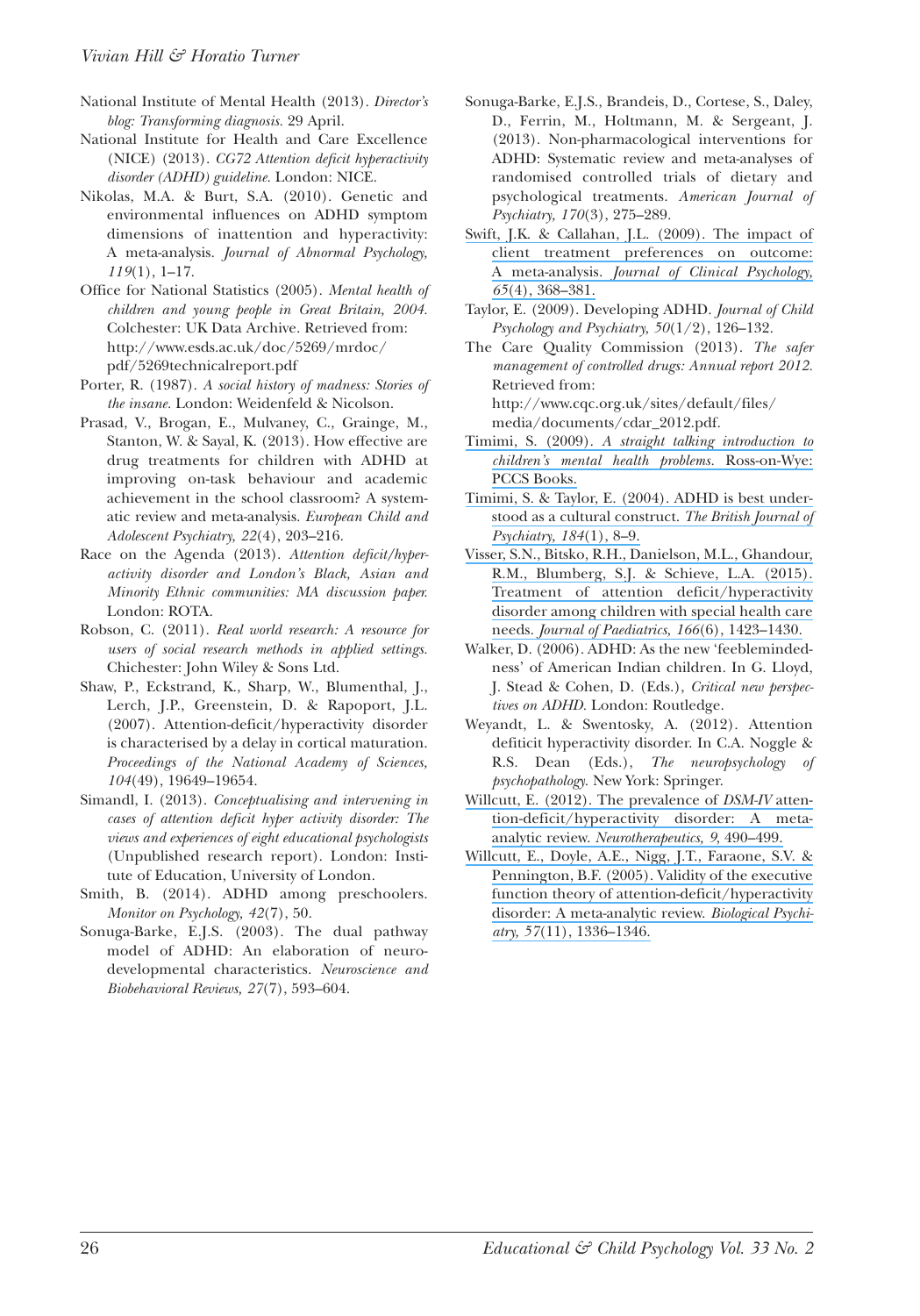- National Institute of Mental Health (2013). *Director's blog: Transforming diagnosis.* 29 April.
- National Institute for Health and Care Excellence (NICE) (2013). *CG72 Attention deficit hyperactivity disorder (ADHD) guideline.* London: NICE.
- Nikolas, M.A. & Burt, S.A. (2010). Genetic and environmental influences on ADHD symptom dimensions of inattention and hyperactivity: A meta-analysis. *Journal of Abnormal Psychology, 119*(1), 1–17.
- office for National Statistics (2005). *Mental health of children and young people in Great Britain, 2004.* Colchester: UK Data Archive. Retrieved from: http://www.esds.ac.uk/doc/5269/mrdoc/ pdf/5269technicalreport.pdf
- Porter, R. (1987). *A social history of madness: Stories of the insane.* London: Weidenfeld & Nicolson.
- Prasad, V., Brogan, E., Mulvaney, C., Grainge, M., Stanton, W. & Sayal, K. (2013). How effective are drug treatments for children with ADHD at improving on-task behaviour and academic achievement in the school classroom? A systematic review and meta-analysis. *European Child and Adolescent Psychiatry, 22*(4), 203–216.
- Race on the Agenda (2013). *Attention deficit/hyperactivity disorder and London's Black, Asian and Minority Ethnic communities: MA discussion paper.* London: RoTA.
- Robson, C. (2011). *Real world research: A resource for users of social research methods in applied settings.* Chichester: John Wiley & Sons Ltd.
- Shaw, P., Eckstrand, K., Sharp, W., Blumenthal, J., Lerch, J.P., Greenstein, D. & Rapoport, J.L. (2007). Attention-deficit/hyperactivity disorder is characterised by a delay in cortical maturation. *Proceedings of the National Academy of Sciences, 104*(49), 19649–19654.
- Simandl, I. (2013). *Conceptualising and intervening in cases of attention deficit hyper activity disorder: The views and experiences of eight educational psychologists* (Unpublished research report). London: Institute of Education, University of London.
- Smith, B. (2014). ADHD among preschoolers. *Monitor on Psychology, 42*(7), 50.
- Sonuga-Barke, E.J.S. (2003). The dual pathway model of ADHD: An elaboration of neurodevelopmental characteristics. *Neuroscience and Biobehavioral Reviews, 27*(7), 593–604.
- Sonuga-Barke, E.J.S., Brandeis, D., Cortese, S., Daley, D., Ferrin, M., Holtmann, M. & Sergeant, J. (2013). Non-pharmacological interventions for ADHD: Systematic review and meta-analyses of randomised controlled trials of dietary and psychological treatments. *American Journal of Psychiatry, 170*(3), 275–289.
- Swift, J.K. & [Callahan,](https://www.researchgate.net/publication/24024530_The_Impact_of_Client_Treatment_Preferences_on_Outcome_A_Meta-Analysis?el=1_x_8&enrichId=rgreq-66a193ecd309c8bf7bc58243ae56ceca-XXX&enrichSource=Y292ZXJQYWdlOzMwNDkwMDg0MjtBUzozODA4MTYwMTk0NzY0ODBAMTQ2NzgwNTAyMjYxOQ==) J.L. (2009). The impact of client treatment [preferences](https://www.researchgate.net/publication/24024530_The_Impact_of_Client_Treatment_Preferences_on_Outcome_A_Meta-Analysis?el=1_x_8&enrichId=rgreq-66a193ecd309c8bf7bc58243ae56ceca-XXX&enrichSource=Y292ZXJQYWdlOzMwNDkwMDg0MjtBUzozODA4MTYwMTk0NzY0ODBAMTQ2NzgwNTAyMjYxOQ==) on outcome: A [meta-analysis.](https://www.researchgate.net/publication/24024530_The_Impact_of_Client_Treatment_Preferences_on_Outcome_A_Meta-Analysis?el=1_x_8&enrichId=rgreq-66a193ecd309c8bf7bc58243ae56ceca-XXX&enrichSource=Y292ZXJQYWdlOzMwNDkwMDg0MjtBUzozODA4MTYwMTk0NzY0ODBAMTQ2NzgwNTAyMjYxOQ==) *Journal of Clinical Psychology, 65*(4), [368–381.](https://www.researchgate.net/publication/24024530_The_Impact_of_Client_Treatment_Preferences_on_Outcome_A_Meta-Analysis?el=1_x_8&enrichId=rgreq-66a193ecd309c8bf7bc58243ae56ceca-XXX&enrichSource=Y292ZXJQYWdlOzMwNDkwMDg0MjtBUzozODA4MTYwMTk0NzY0ODBAMTQ2NzgwNTAyMjYxOQ==)
- Taylor, E. (2009). Developing ADHD. *Journal of Child Psychology and Psychiatry, 50*(1/2), 126–132.
- The Care Quality Commission (2013). *The safer management of controlled drugs: Annual report 2012.* Retrieved from: http://www.cqc.org.uk/sites/default/files/ media/documents/cdar\_2012.pdf.
- Timimi, S. (2009). *A straight talking [introduction](https://www.researchgate.net/publication/233743451_A_straight_Talking_Introduction_to_Children) to children's mental health problems.* [Ross-on-Wye:](https://www.researchgate.net/publication/233743451_A_straight_Talking_Introduction_to_Children) PCCS [Books.](https://www.researchgate.net/publication/233743451_A_straight_Talking_Introduction_to_Children)
- [Timimi,](https://www.researchgate.net/publication/8937507_ADHD_Is_Best_Understood_as_a_Cultural_Construct?el=1_x_8&enrichId=rgreq-66a193ecd309c8bf7bc58243ae56ceca-XXX&enrichSource=Y292ZXJQYWdlOzMwNDkwMDg0MjtBUzozODA4MTYwMTk0NzY0ODBAMTQ2NzgwNTAyMjYxOQ==) S. & Taylor, E. (2004). ADHD is best understood as a cultural [construct.](https://www.researchgate.net/publication/8937507_ADHD_Is_Best_Understood_as_a_Cultural_Construct?el=1_x_8&enrichId=rgreq-66a193ecd309c8bf7bc58243ae56ceca-XXX&enrichSource=Y292ZXJQYWdlOzMwNDkwMDg0MjtBUzozODA4MTYwMTk0NzY0ODBAMTQ2NzgwNTAyMjYxOQ==) *The British Journal of [Psychiatry,](https://www.researchgate.net/publication/8937507_ADHD_Is_Best_Understood_as_a_Cultural_Construct?el=1_x_8&enrichId=rgreq-66a193ecd309c8bf7bc58243ae56ceca-XXX&enrichSource=Y292ZXJQYWdlOzMwNDkwMDg0MjtBUzozODA4MTYwMTk0NzY0ODBAMTQ2NzgwNTAyMjYxOQ==) 184*(1), 8–9.
- Visser, S.N., Bitsko, R.H., Danielson, M.L., [Ghandour,](https://www.researchgate.net/publication/274513707_Treatment_of_Attention_DeficitHyperactivity_Disorder_among_Children_with_Special_Health_Care_Needs?el=1_x_8&enrichId=rgreq-66a193ecd309c8bf7bc58243ae56ceca-XXX&enrichSource=Y292ZXJQYWdlOzMwNDkwMDg0MjtBUzozODA4MTYwMTk0NzY0ODBAMTQ2NzgwNTAyMjYxOQ==) R.M., [Blumberg,](https://www.researchgate.net/publication/274513707_Treatment_of_Attention_DeficitHyperactivity_Disorder_among_Children_with_Special_Health_Care_Needs?el=1_x_8&enrichId=rgreq-66a193ecd309c8bf7bc58243ae56ceca-XXX&enrichSource=Y292ZXJQYWdlOzMwNDkwMDg0MjtBUzozODA4MTYwMTk0NzY0ODBAMTQ2NzgwNTAyMjYxOQ==) S.J. & Schieve, L.A. (2015). Treatment of attention [deficit/hyperactivity](https://www.researchgate.net/publication/274513707_Treatment_of_Attention_DeficitHyperactivity_Disorder_among_Children_with_Special_Health_Care_Needs?el=1_x_8&enrichId=rgreq-66a193ecd309c8bf7bc58243ae56ceca-XXX&enrichSource=Y292ZXJQYWdlOzMwNDkwMDg0MjtBUzozODA4MTYwMTk0NzY0ODBAMTQ2NzgwNTAyMjYxOQ==) disorder among [children](https://www.researchgate.net/publication/274513707_Treatment_of_Attention_DeficitHyperactivity_Disorder_among_Children_with_Special_Health_Care_Needs?el=1_x_8&enrichId=rgreq-66a193ecd309c8bf7bc58243ae56ceca-XXX&enrichSource=Y292ZXJQYWdlOzMwNDkwMDg0MjtBUzozODA4MTYwMTk0NzY0ODBAMTQ2NzgwNTAyMjYxOQ==) with special health care needs. *Journal of Paediatrics, 166*(6), [1423–1430.](https://www.researchgate.net/publication/274513707_Treatment_of_Attention_DeficitHyperactivity_Disorder_among_Children_with_Special_Health_Care_Needs?el=1_x_8&enrichId=rgreq-66a193ecd309c8bf7bc58243ae56ceca-XXX&enrichSource=Y292ZXJQYWdlOzMwNDkwMDg0MjtBUzozODA4MTYwMTk0NzY0ODBAMTQ2NzgwNTAyMjYxOQ==)
- Walker, D. (2006). ADHD: As the new 'feeblemindedness' of American Indian children. In G. Lloyd, J. Stead & Cohen, D. (Eds.), *Critical new perspectives on ADHD.* London: Routledge.
- Weyandt, L. & Swentosky, A. (2012). Attention defiticit hyperactivity disorder. In C.A. Noggle & R.S. Dean (Eds.), *The neuropsychology of psychopathology.* New York: Springer.
- Willcutt, E. (2012). The [prevalence](https://www.researchgate.net/publication/230849995_The_Prevalence_of_DSM-IV_Attention-DeficitHyperactivity_Disorder_A_Meta-Analytic_Review?el=1_x_8&enrichId=rgreq-66a193ecd309c8bf7bc58243ae56ceca-XXX&enrichSource=Y292ZXJQYWdlOzMwNDkwMDg0MjtBUzozODA4MTYwMTk0NzY0ODBAMTQ2NzgwNTAyMjYxOQ==) of *DSM-IV* atten[tion-deficit/hyperactivity](https://www.researchgate.net/publication/230849995_The_Prevalence_of_DSM-IV_Attention-DeficitHyperactivity_Disorder_A_Meta-Analytic_Review?el=1_x_8&enrichId=rgreq-66a193ecd309c8bf7bc58243ae56ceca-XXX&enrichSource=Y292ZXJQYWdlOzMwNDkwMDg0MjtBUzozODA4MTYwMTk0NzY0ODBAMTQ2NzgwNTAyMjYxOQ==) disorder: A metaanalytic review. *[Neurotherapeutics,](https://www.researchgate.net/publication/230849995_The_Prevalence_of_DSM-IV_Attention-DeficitHyperactivity_Disorder_A_Meta-Analytic_Review?el=1_x_8&enrichId=rgreq-66a193ecd309c8bf7bc58243ae56ceca-XXX&enrichSource=Y292ZXJQYWdlOzMwNDkwMDg0MjtBUzozODA4MTYwMTk0NzY0ODBAMTQ2NzgwNTAyMjYxOQ==) 9*, 490–499.
- Willcutt, E., Doyle, A.E., Nigg, J.T., [Faraone,](https://www.researchgate.net/publication/7792685_Validity_of_the_Executive_Function_Theory_of_Attention-DeficitHyperactivity_Disorder_A_Meta-Analytic_Review?el=1_x_8&enrichId=rgreq-66a193ecd309c8bf7bc58243ae56ceca-XXX&enrichSource=Y292ZXJQYWdlOzMwNDkwMDg0MjtBUzozODA4MTYwMTk0NzY0ODBAMTQ2NzgwNTAyMjYxOQ==) S.V. & [Pennington,](https://www.researchgate.net/publication/7792685_Validity_of_the_Executive_Function_Theory_of_Attention-DeficitHyperactivity_Disorder_A_Meta-Analytic_Review?el=1_x_8&enrichId=rgreq-66a193ecd309c8bf7bc58243ae56ceca-XXX&enrichSource=Y292ZXJQYWdlOzMwNDkwMDg0MjtBUzozODA4MTYwMTk0NzY0ODBAMTQ2NzgwNTAyMjYxOQ==) B.F. (2005). Validity of the executive function theory of [attention-deficit/hyperactivity](https://www.researchgate.net/publication/7792685_Validity_of_the_Executive_Function_Theory_of_Attention-DeficitHyperactivity_Disorder_A_Meta-Analytic_Review?el=1_x_8&enrichId=rgreq-66a193ecd309c8bf7bc58243ae56ceca-XXX&enrichSource=Y292ZXJQYWdlOzMwNDkwMDg0MjtBUzozODA4MTYwMTk0NzY0ODBAMTQ2NzgwNTAyMjYxOQ==) disorder: A [meta-analytic](https://www.researchgate.net/publication/7792685_Validity_of_the_Executive_Function_Theory_of_Attention-DeficitHyperactivity_Disorder_A_Meta-Analytic_Review?el=1_x_8&enrichId=rgreq-66a193ecd309c8bf7bc58243ae56ceca-XXX&enrichSource=Y292ZXJQYWdlOzMwNDkwMDg0MjtBUzozODA4MTYwMTk0NzY0ODBAMTQ2NzgwNTAyMjYxOQ==) review. *Biological Psychiatry, 57*(11), [1336–1346.](https://www.researchgate.net/publication/7792685_Validity_of_the_Executive_Function_Theory_of_Attention-DeficitHyperactivity_Disorder_A_Meta-Analytic_Review?el=1_x_8&enrichId=rgreq-66a193ecd309c8bf7bc58243ae56ceca-XXX&enrichSource=Y292ZXJQYWdlOzMwNDkwMDg0MjtBUzozODA4MTYwMTk0NzY0ODBAMTQ2NzgwNTAyMjYxOQ==)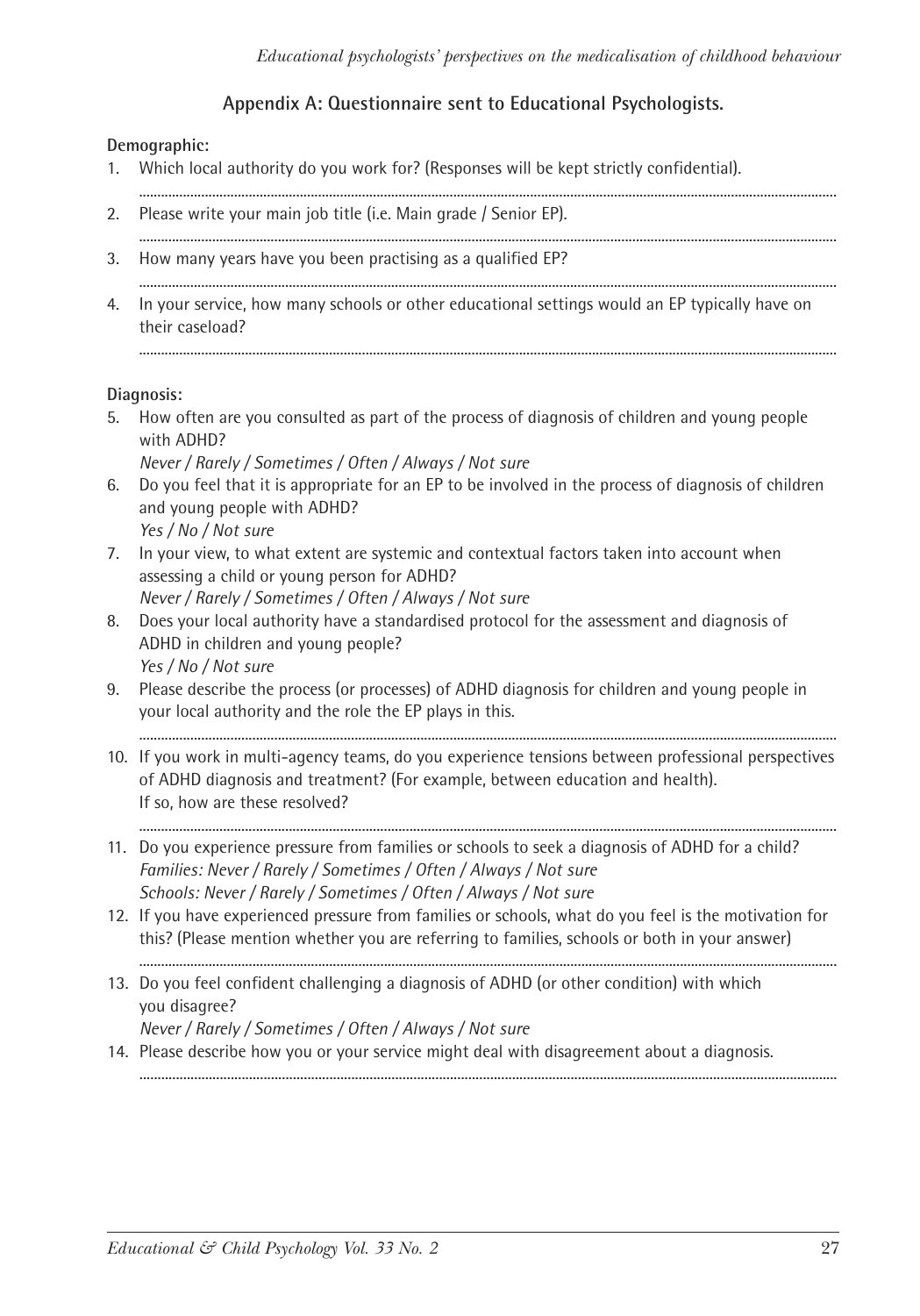#### **Appendix A: Questionnaire sent to Educational Psychologists.**

#### **Demographic:**

- 1. Which local authority do you work for? (Responses will be kept strictly confidential).
- ............................................................................................................................................................................................... 2. Please write your main job title (i.e. Main grade / Senior EP). ...............................................................................................................................................................................................
- 3. How many years have you been practising as a qualified EP? ...............................................................................................................................................................................................
- 4. In your service, how many schools or other educational settings would an EP typically have on their caseload?

...............................................................................................................................................................................................

#### **Diagnosis:**

- 5. How often are you consulted as part of the process of diagnosis of children and young people with ADHD?
	- *Never / Rarely / Sometimes / Often / Always / Not sure*
- 6. Do you feel that it is appropriate for an EP to be involved in the process of diagnosis of children and young people with ADHD? *Yes / No / Not sure*
- 7. In your view, to what extent are systemic and contextual factors taken into account when assessing a child or young person for ADHD? *Never / Rarely / Sometimes / Often / Always / Not sure*
- 8. Does your local authority have a standardised protocol for the assessment and diagnosis of ADHD in children and young people? *Yes / No / Not sure*
- 9. Please describe the process (or processes) of ADHD diagnosis for children and young people in your local authority and the role the EP plays in this.
- 10. If you work in multi-agency teams, do you experience tensions between professional perspectives of ADHD diagnosis and treatment? (For example, between education and health). If so, how are these resolved?

...............................................................................................................................................................................................

- ............................................................................................................................................................................................... 11. Do you experience pressure from families or schools to seek a diagnosis of ADHD for a child? *Families: Never / Rarely / Sometimes / Often / Always / Not sure Schools: Never / Rarely / Sometimes / Often / Always / Not sure*
- 12. If you have experienced pressure from families or schools, what do you feel is the motivation for this? (Please mention whether you are referring to families, schools or both in your answer)

...............................................................................................................................................................................................

- 13. Do you feel confident challenging a diagnosis of ADHD (or other condition) with which you disagree? *Never / Rarely / Sometimes / Often / Always / Not sure*
- 14. Please describe how you or your service might deal with disagreement about a diagnosis. ...............................................................................................................................................................................................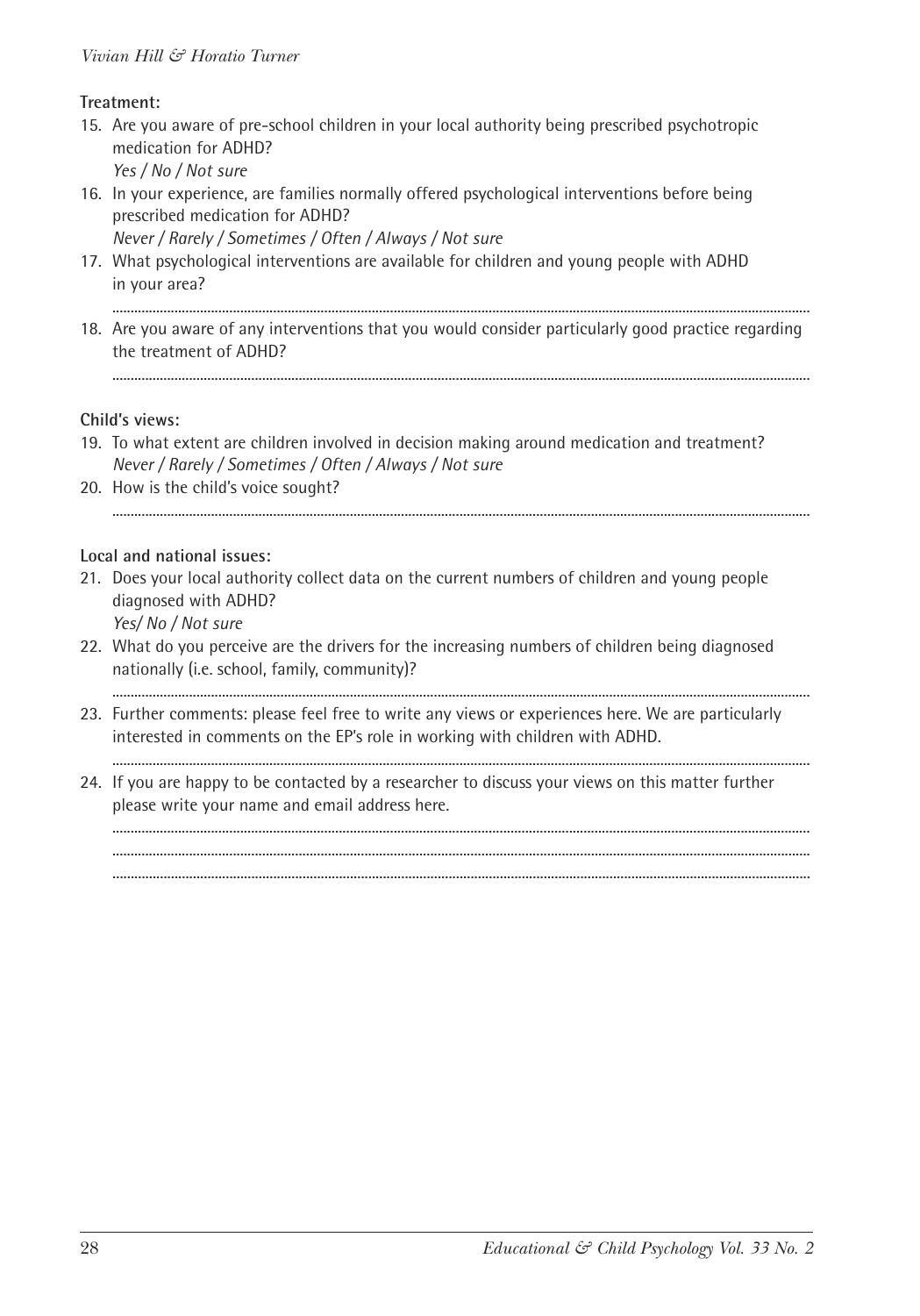#### *Vivian Hill & Horatio Turner*

#### **Treatment:**

- 15. Are you aware of pre-school children in your local authority being prescribed psychotropic medication for ADHD? *Yes / No / Not sure*
- 16. In your experience, are families normally offered psychological interventions before being prescribed medication for ADHD? *Never / Rarely / Sometimes / Often / Always / Not sure*
- 17. What psychological interventions are available for children and young people with ADHD in your area?

...............................................................................................................................................................................................

18. Are you aware of any interventions that you would consider particularly good practice regarding the treatment of ADHD?

#### **Child's views:**

- 19. To what extent are children involved in decision making around medication and treatment? *Never / Rarely / Sometimes / Often / Always / Not sure*
- 20. How is the child's voice sought? ...............................................................................................................................................................................................

#### **Local and national issues:**

21. Does your local authority collect data on the current numbers of children and young people diagnosed with ADHD?

*Yes/ No / Not sure*

22. What do you perceive are the drivers for the increasing numbers of children being diagnosed nationally (i.e. school, family, community)?

...............................................................................................................................................................................................

- 23. Further comments: please feel free to write any views or experiences here. We are particularly interested in comments on the EP's role in working with children with ADHD.
- ............................................................................................................................................................................................... 24. If you are happy to be contacted by a researcher to discuss your views on this matter further please write your name and email address here.

...............................................................................................................................................................................................